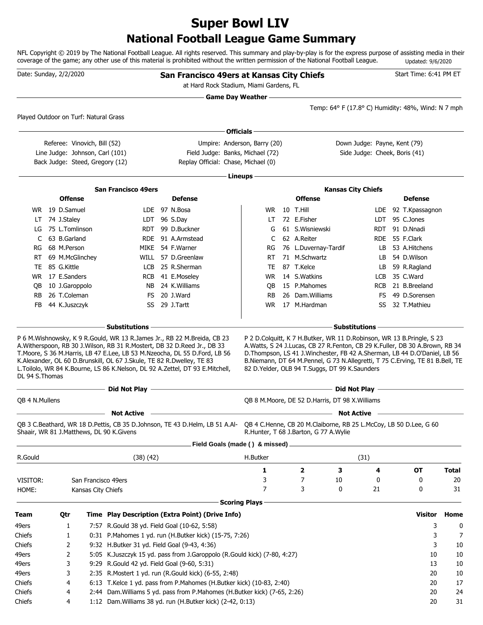## **National Football League Game Summary Super Bowl LIV**

NFL Copyright © 2019 by The National Football League. All rights reserved. This summary and play-by-play is for the express purpose of assisting media in their coverage of the game; any other use of this material is prohibited without the written permission of the National Football League. Updated: 9/6/2020

| Date: Sunday, 2/2/2020                |                                                                    |                                                                                                              | San Francisco 49ers at Kansas City Chiefs<br>at Hard Rock Stadium, Miami Gardens, FL                                                                                                                                                                                                                                                                                                                                                                                                                                                                                                                         |                              |                                                                                                                                                                                                                                                                                                                                                                                                                             |                                                                                                                  |            | Start Time: 6:41 PM ET                       |              |
|---------------------------------------|--------------------------------------------------------------------|--------------------------------------------------------------------------------------------------------------|--------------------------------------------------------------------------------------------------------------------------------------------------------------------------------------------------------------------------------------------------------------------------------------------------------------------------------------------------------------------------------------------------------------------------------------------------------------------------------------------------------------------------------------------------------------------------------------------------------------|------------------------------|-----------------------------------------------------------------------------------------------------------------------------------------------------------------------------------------------------------------------------------------------------------------------------------------------------------------------------------------------------------------------------------------------------------------------------|------------------------------------------------------------------------------------------------------------------|------------|----------------------------------------------|--------------|
|                                       |                                                                    |                                                                                                              |                                                                                                                                                                                                                                                                                                                                                                                                                                                                                                                                                                                                              | Game Day Weather —           |                                                                                                                                                                                                                                                                                                                                                                                                                             | <u> 1989 - Johann Barn, amerikansk politiker (d. 1989)</u><br>Temp: 64° F (17.8° C) Humidity: 48%, Wind: N 7 mph |            |                                              |              |
| Played Outdoor on Turf: Natural Grass |                                                                    |                                                                                                              |                                                                                                                                                                                                                                                                                                                                                                                                                                                                                                                                                                                                              |                              |                                                                                                                                                                                                                                                                                                                                                                                                                             |                                                                                                                  |            |                                              |              |
|                                       |                                                                    |                                                                                                              |                                                                                                                                                                                                                                                                                                                                                                                                                                                                                                                                                                                                              | Officials -                  |                                                                                                                                                                                                                                                                                                                                                                                                                             |                                                                                                                  |            |                                              |              |
|                                       | Referee: Vinovich, Bill (52)                                       |                                                                                                              |                                                                                                                                                                                                                                                                                                                                                                                                                                                                                                                                                                                                              | Umpire: Anderson, Barry (20) |                                                                                                                                                                                                                                                                                                                                                                                                                             | Down Judge: Payne, Kent (79)                                                                                     |            |                                              |              |
|                                       | Line Judge: Johnson, Carl (101)<br>Back Judge: Steed, Gregory (12) |                                                                                                              | Field Judge: Banks, Michael (72)<br>Replay Official: Chase, Michael (0)                                                                                                                                                                                                                                                                                                                                                                                                                                                                                                                                      |                              |                                                                                                                                                                                                                                                                                                                                                                                                                             | Side Judge: Cheek, Boris (41)                                                                                    |            |                                              |              |
|                                       |                                                                    |                                                                                                              |                                                                                                                                                                                                                                                                                                                                                                                                                                                                                                                                                                                                              |                              |                                                                                                                                                                                                                                                                                                                                                                                                                             |                                                                                                                  |            |                                              |              |
|                                       |                                                                    |                                                                                                              |                                                                                                                                                                                                                                                                                                                                                                                                                                                                                                                                                                                                              | Lineups -                    |                                                                                                                                                                                                                                                                                                                                                                                                                             |                                                                                                                  |            |                                              |              |
|                                       |                                                                    | <b>San Francisco 49ers</b>                                                                                   |                                                                                                                                                                                                                                                                                                                                                                                                                                                                                                                                                                                                              |                              |                                                                                                                                                                                                                                                                                                                                                                                                                             | <b>Kansas City Chiefs</b>                                                                                        |            |                                              |              |
|                                       | <b>Offense</b>                                                     |                                                                                                              | <b>Defense</b>                                                                                                                                                                                                                                                                                                                                                                                                                                                                                                                                                                                               |                              | <b>Offense</b>                                                                                                                                                                                                                                                                                                                                                                                                              |                                                                                                                  |            | <b>Defense</b>                               |              |
|                                       | WR 19 D.Samuel                                                     |                                                                                                              | LDE 97 N.Bosa                                                                                                                                                                                                                                                                                                                                                                                                                                                                                                                                                                                                | WR.                          | 10 T.Hill                                                                                                                                                                                                                                                                                                                                                                                                                   |                                                                                                                  |            | LDE 92 T.Kpassagnon                          |              |
| LT                                    | 74 J.Staley                                                        |                                                                                                              | LDT 96 S.Day                                                                                                                                                                                                                                                                                                                                                                                                                                                                                                                                                                                                 | LT.                          | 72 E.Fisher                                                                                                                                                                                                                                                                                                                                                                                                                 |                                                                                                                  | LDT        | 95 C.Jones                                   |              |
| LG                                    | 75 L.Tomlinson                                                     |                                                                                                              | RDT 99 D.Buckner                                                                                                                                                                                                                                                                                                                                                                                                                                                                                                                                                                                             | G                            | 61 S.Wisniewski                                                                                                                                                                                                                                                                                                                                                                                                             |                                                                                                                  | RDT.       | 91 D.Nnadi                                   |              |
| C                                     | 63 B.Garland                                                       |                                                                                                              | RDE 91 A.Armstead                                                                                                                                                                                                                                                                                                                                                                                                                                                                                                                                                                                            | C                            | 62 A.Reiter                                                                                                                                                                                                                                                                                                                                                                                                                 |                                                                                                                  | rde        | 55 F.Clark                                   |              |
| RG                                    | 68 M.Person                                                        |                                                                                                              | MIKE 54 F.Warner                                                                                                                                                                                                                                                                                                                                                                                                                                                                                                                                                                                             | RG                           | 76 L.Duvernay-Tardif                                                                                                                                                                                                                                                                                                                                                                                                        |                                                                                                                  | LB.        | 53 A.Hitchens                                |              |
| RT                                    | 69 M.McGlinchey                                                    |                                                                                                              | WILL 57 D.Greenlaw                                                                                                                                                                                                                                                                                                                                                                                                                                                                                                                                                                                           | RT                           | 71 M.Schwartz                                                                                                                                                                                                                                                                                                                                                                                                               |                                                                                                                  | LB.        | 54 D.Wilson                                  |              |
| ТE                                    | 85 G.Kittle                                                        | <b>LCB</b>                                                                                                   | 25 R.Sherman                                                                                                                                                                                                                                                                                                                                                                                                                                                                                                                                                                                                 | TE                           | 87 T.Kelce                                                                                                                                                                                                                                                                                                                                                                                                                  |                                                                                                                  | LB.        | 59 R.Ragland                                 |              |
| WR.                                   | 17 E.Sanders                                                       | <b>RCB</b>                                                                                                   | 41 E.Moseley                                                                                                                                                                                                                                                                                                                                                                                                                                                                                                                                                                                                 | WR.                          | 14 S.Watkins                                                                                                                                                                                                                                                                                                                                                                                                                |                                                                                                                  | LCB        | 35 C.Ward                                    |              |
| OВ                                    | 10 J.Garoppolo                                                     |                                                                                                              | NB 24 K.Williams                                                                                                                                                                                                                                                                                                                                                                                                                                                                                                                                                                                             | QB                           | 15 P.Mahomes                                                                                                                                                                                                                                                                                                                                                                                                                |                                                                                                                  | <b>RCB</b> | 21 B.Breeland                                |              |
| RB                                    | 26 T.Coleman                                                       | FS                                                                                                           | 20 J.Ward                                                                                                                                                                                                                                                                                                                                                                                                                                                                                                                                                                                                    | <b>RB</b>                    | 26 Dam. Williams                                                                                                                                                                                                                                                                                                                                                                                                            |                                                                                                                  | FS.        | 49 D.Sorensen                                |              |
| DL 94 S. Thomas<br>QB 4 N.Mullens     |                                                                    | K.Alexander, OL 60 D.Brunskill, OL 67 J.Skule, TE 82 R.Dwelley, TE 83<br>Did Not Play -<br><b>Not Active</b> | P 6 M. Wishnowsky, K 9 R. Gould, WR 13 R. James Jr., RB 22 M. Breida, CB 23<br>A. Witherspoon, RB 30 J. Wilson, RB 31 R. Mostert, DB 32 D. Reed Jr., DB 33<br>T. Moore, S 36 M. Harris, LB 47 E. Lee, LB 53 M. Nzeocha, DL 55 D. Ford, LB 56<br>L. Toilolo, WR 84 K. Bourne, LS 86 K. Nelson, DL 92 A. Zettel, DT 93 E. Mitchell,<br><b>Did Not Play - All Contracts Contract Contracts Contract Contracts Contract Contracts Contracts Contracts Contr</b><br>QB 3 C.Beathard, WR 18 D.Pettis, CB 35 D.Johnson, TE 43 D.Helm, LB 51 A.Al- QB 4 C.Henne, CB 20 M.Claiborne, RB 25 L.McCoy, LB 50 D.Lee, G 60 |                              | P 2 D.Colquitt, K 7 H.Butker, WR 11 D.Robinson, WR 13 B.Pringle, S 23<br>A.Watts, S 24 J.Lucas, CB 27 R.Fenton, CB 29 K.Fuller, DB 30 A.Brown, RB 34<br>D. Thompson, LS 41 J. Winchester, FB 42 A. Sherman, LB 44 D. O'Daniel, LB 56<br>B.Niemann, DT 64 M.Pennel, G 73 N.Allegretti, T 75 C.Erving, TE 81 B.Bell, TE<br>82 D.Yelder, OLB 94 T.Suggs, DT 99 K.Saunders<br>QB 8 M. Moore, DE 52 D. Harris, DT 98 X. Williams | <b>Not Active</b>                                                                                                |            | the control of the control of the control of |              |
|                                       |                                                                    | Shaair, WR 81 J.Matthews, DL 90 K.Givens                                                                     |                                                                                                                                                                                                                                                                                                                                                                                                                                                                                                                                                                                                              |                              | R.Hunter, T 68 J.Barton, G 77 A.Wylie                                                                                                                                                                                                                                                                                                                                                                                       |                                                                                                                  |            |                                              |              |
|                                       |                                                                    |                                                                                                              | Field Goals (made () & missed)                                                                                                                                                                                                                                                                                                                                                                                                                                                                                                                                                                               |                              |                                                                                                                                                                                                                                                                                                                                                                                                                             |                                                                                                                  |            |                                              |              |
| R.Gould                               |                                                                    | (38)(42)                                                                                                     |                                                                                                                                                                                                                                                                                                                                                                                                                                                                                                                                                                                                              | H.Butker                     |                                                                                                                                                                                                                                                                                                                                                                                                                             | (31)                                                                                                             |            |                                              |              |
|                                       |                                                                    |                                                                                                              |                                                                                                                                                                                                                                                                                                                                                                                                                                                                                                                                                                                                              | 1                            | $\overline{\mathbf{2}}$                                                                                                                                                                                                                                                                                                                                                                                                     | З                                                                                                                | 4          | OT                                           | <b>Total</b> |
| VISITOR:                              |                                                                    | San Francisco 49ers                                                                                          |                                                                                                                                                                                                                                                                                                                                                                                                                                                                                                                                                                                                              | 3                            | 7                                                                                                                                                                                                                                                                                                                                                                                                                           | 10                                                                                                               | 0          | 0                                            | 20           |
| HOME:                                 |                                                                    | Kansas City Chiefs                                                                                           |                                                                                                                                                                                                                                                                                                                                                                                                                                                                                                                                                                                                              | $\overline{7}$               | 3                                                                                                                                                                                                                                                                                                                                                                                                                           | 0                                                                                                                | 21         | 0                                            | 31           |
|                                       |                                                                    |                                                                                                              |                                                                                                                                                                                                                                                                                                                                                                                                                                                                                                                                                                                                              | <b>Scoring Plays</b>         |                                                                                                                                                                                                                                                                                                                                                                                                                             |                                                                                                                  |            |                                              |              |
|                                       |                                                                    |                                                                                                              |                                                                                                                                                                                                                                                                                                                                                                                                                                                                                                                                                                                                              |                              |                                                                                                                                                                                                                                                                                                                                                                                                                             |                                                                                                                  |            |                                              |              |
| <b>Team</b>                           | Qtr                                                                |                                                                                                              | Time Play Description (Extra Point) (Drive Info)                                                                                                                                                                                                                                                                                                                                                                                                                                                                                                                                                             |                              |                                                                                                                                                                                                                                                                                                                                                                                                                             |                                                                                                                  |            | <b>Visitor</b>                               | Home         |
| 49ers                                 | 1                                                                  | 7:57 R. Gould 38 yd. Field Goal (10-62, 5:58)                                                                |                                                                                                                                                                                                                                                                                                                                                                                                                                                                                                                                                                                                              |                              |                                                                                                                                                                                                                                                                                                                                                                                                                             |                                                                                                                  |            | 3                                            | 0            |
| Chiefs                                | 1                                                                  |                                                                                                              | 0:31 P.Mahomes 1 yd. run (H.Butker kick) (15-75, 7:26)                                                                                                                                                                                                                                                                                                                                                                                                                                                                                                                                                       |                              |                                                                                                                                                                                                                                                                                                                                                                                                                             |                                                                                                                  |            | 3                                            | 7            |
| Chiefs                                | 2                                                                  | 9:32 H.Butker 31 yd. Field Goal (9-43, 4:36)                                                                 |                                                                                                                                                                                                                                                                                                                                                                                                                                                                                                                                                                                                              |                              |                                                                                                                                                                                                                                                                                                                                                                                                                             |                                                                                                                  |            | 3                                            | 10           |
| 49ers                                 | 2                                                                  |                                                                                                              | 5:05 K.Juszczyk 15 yd. pass from J.Garoppolo (R.Gould kick) (7-80, 4:27)                                                                                                                                                                                                                                                                                                                                                                                                                                                                                                                                     |                              |                                                                                                                                                                                                                                                                                                                                                                                                                             |                                                                                                                  |            | 10                                           | 10           |
| 49ers                                 | 3                                                                  | 9:29 R.Gould 42 yd. Field Goal (9-60, 5:31)                                                                  |                                                                                                                                                                                                                                                                                                                                                                                                                                                                                                                                                                                                              |                              |                                                                                                                                                                                                                                                                                                                                                                                                                             |                                                                                                                  |            | 13                                           | 10           |
| 49ers                                 | 3                                                                  |                                                                                                              | 2:35 R.Mostert 1 yd. run (R.Gould kick) (6-55, 2:48)                                                                                                                                                                                                                                                                                                                                                                                                                                                                                                                                                         |                              |                                                                                                                                                                                                                                                                                                                                                                                                                             |                                                                                                                  |            | 20                                           | 10           |
| Chiefs                                | 4                                                                  |                                                                                                              | 6:13 T.Kelce 1 yd. pass from P.Mahomes (H.Butker kick) (10-83, 2:40)                                                                                                                                                                                                                                                                                                                                                                                                                                                                                                                                         |                              |                                                                                                                                                                                                                                                                                                                                                                                                                             |                                                                                                                  |            | 20                                           | 17           |
| Chiefs                                | 4                                                                  |                                                                                                              | 2:44 Dam. Williams 5 yd. pass from P. Mahomes (H. Butker kick) (7-65, 2:26)                                                                                                                                                                                                                                                                                                                                                                                                                                                                                                                                  |                              |                                                                                                                                                                                                                                                                                                                                                                                                                             |                                                                                                                  |            | 20                                           | 24           |
| Chiefs                                | 4                                                                  |                                                                                                              | 1:12 Dam. Williams 38 yd. run (H. Butker kick) (2-42, 0:13)                                                                                                                                                                                                                                                                                                                                                                                                                                                                                                                                                  |                              |                                                                                                                                                                                                                                                                                                                                                                                                                             |                                                                                                                  |            | 20                                           | 31           |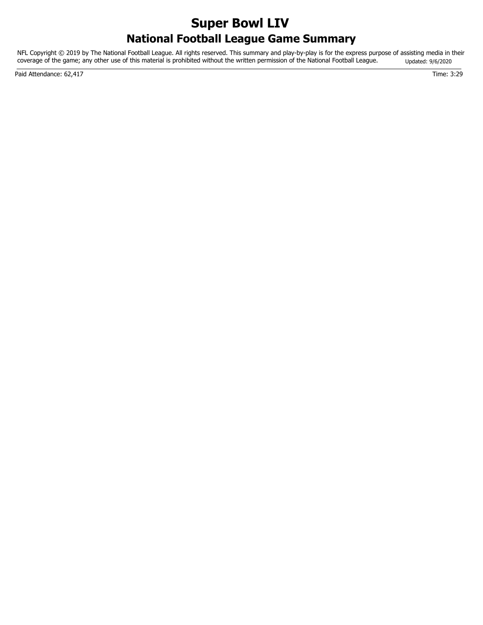## **National Football League Game Summary Super Bowl LIV**

NFL Copyright © 2019 by The National Football League. All rights reserved. This summary and play-by-play is for the express purpose of assisting media in their coverage of the game; any other use of this material is prohibited without the written permission of the National Football League. Updated: 9/6/2020

Paid Attendance: 62,417 Time: 3:29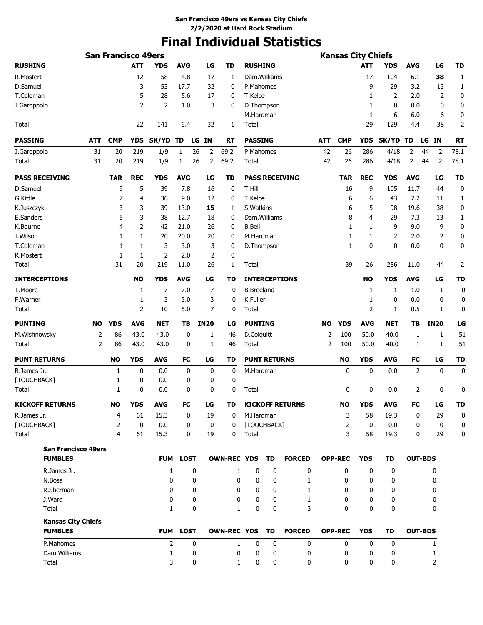# **Final Individual Statistics**

|                            |                | <b>San Francisco 49ers</b> |                |                |                 |                |                    |                     |    |                        | <b>Kansas City Chiefs</b> |                |              |            |                |                 |                |  |
|----------------------------|----------------|----------------------------|----------------|----------------|-----------------|----------------|--------------------|---------------------|----|------------------------|---------------------------|----------------|--------------|------------|----------------|-----------------|----------------|--|
| <b>RUSHING</b>             |                |                            | <b>ATT</b>     | <b>YDS</b>     | <b>AVG</b>      | LG             | <b>TD</b>          | <b>RUSHING</b>      |    |                        |                           |                | <b>ATT</b>   | <b>YDS</b> | <b>AVG</b>     | LG              | TD             |  |
| R.Mostert                  |                |                            | 12             | 58             | 4.8             | 17             | 1                  | Dam. Williams       |    |                        |                           |                | 17           | 104        | 6.1            | 38              | 1              |  |
| D.Samuel                   |                |                            | 3              | 53             | 17.7            | 32             | 0                  | P.Mahomes           |    |                        |                           |                | 9            | 29         | 3.2            | 13              | 1              |  |
| T.Coleman                  |                |                            | 5              | 28             | 5.6             | 17             | 0                  | T.Kelce             |    |                        |                           |                | 1            | 2          | 2.0            | 2               | 0              |  |
| J.Garoppolo                |                |                            | $\overline{2}$ | 2              | 1.0             | 3              | 0                  | D.Thompson          |    |                        |                           |                | 1            | 0          | 0.0            | 0               | 0              |  |
|                            |                |                            |                |                |                 |                |                    | M.Hardman           |    |                        |                           |                | 1            | -6         | $-6.0$         | -6              | 0              |  |
| Total                      |                |                            | 22             | 141            | 6.4             | 32             | 1                  | Total               |    |                        |                           |                | 29           | 129        | 4.4            | 38              | $\overline{2}$ |  |
| <b>PASSING</b>             | <b>ATT</b>     | <b>CMP</b>                 | <b>YDS</b>     | SK/YD TD       | LG              | <b>IN</b>      | <b>RT</b>          | <b>PASSING</b>      |    |                        | ATT                       | <b>CMP</b>     | <b>YDS</b>   | SK/YD      | TD             | <b>IN</b><br>LG | <b>RT</b>      |  |
| J.Garoppolo                | 31             | 20                         | 219            | 1/9            | 1<br>26         | 2              | 69.2               | P.Mahomes           |    |                        | 42                        | 26             | 286          | 4/18       | 2              | 44<br>2         | 78.1           |  |
| <b>Total</b>               | 31             | 20                         | 219            | 1/9            | 26<br>1         | 2              | 69.2               | Total               |    |                        | 42                        | 26             | 286          | 4/18       | 2              | 44<br>2         | 78.1           |  |
| <b>PASS RECEIVING</b>      |                | <b>TAR</b>                 | <b>REC</b>     | <b>YDS</b>     | <b>AVG</b>      | LG             | TD                 |                     |    | <b>PASS RECEIVING</b>  |                           | <b>TAR</b>     | <b>REC</b>   | <b>YDS</b> | <b>AVG</b>     | LG              | <b>TD</b>      |  |
| D.Samuel                   |                | 9                          | 5              | 39             | 7.8             | 16             | 0                  | T.Hill              |    |                        |                           | 16             | 9            | 105        | 11.7           | 44              | 0              |  |
| G.Kittle                   |                | 7                          | 4              | 36             | 9.0             | 12             | 0                  | T.Kelce             |    |                        |                           | 6              | 6            | 43         | 7.2            | 11              | $\mathbf{1}$   |  |
| K.Juszczyk                 |                | 3                          | 3              | 39             | 13.0            | 15             | 1                  | S. Watkins          |    |                        |                           | 6              | 5            | 98         | 19.6           | 38              | 0              |  |
| E.Sanders                  |                | 5                          | 3              | 38             | 12.7            | 18             | 0                  | Dam. Williams       |    |                        |                           | 8              | 4            | 29         | 7.3            | 13              | 1              |  |
| K.Bourne                   |                | 4                          | 2              | 42             | 21.0            | 26             | 0                  | <b>B.Bell</b>       |    |                        |                           | 1              | 1            | 9          | 9.0            | 9               | 0              |  |
| J.Wilson                   |                | 1                          | 1              | 20             | 20.0            | 20             | 0                  | M.Hardman           |    |                        |                           | 1              | 1            | 2          | 2.0            | 2               | 0              |  |
| T.Coleman                  |                | 1                          | 1              | 3              | 3.0             | 3              | 0                  | D.Thompson          |    |                        |                           | $\mathbf{1}$   | 0            | 0          | 0.0            | 0               | 0              |  |
| R.Mostert                  |                | 1                          | 1              | $\overline{2}$ | 2.0             | 2              | 0                  |                     |    |                        |                           |                |              |            |                |                 |                |  |
| Total                      |                | 31                         | 20             | 219            | 11.0            | 26             | 1                  | Total               |    |                        |                           | 39             | 26           | 286        | 11.0           | 44              | 2              |  |
| <b>INTERCEPTIONS</b>       |                |                            | <b>NO</b>      | <b>YDS</b>     | <b>AVG</b>      | LG             | TD                 |                     |    | <b>INTERCEPTIONS</b>   |                           |                | <b>NO</b>    | <b>YDS</b> | <b>AVG</b>     | LG              | <b>TD</b>      |  |
| T.Moore                    |                |                            | 1              | 7              | 7.0             | 7              | 0                  | <b>B.</b> Breeland  |    |                        |                           |                | 1            | 1          | 1.0            | 1               | 0              |  |
| F.Warner                   |                |                            | 1              | 3              | 3.0             | 3              | 0                  | K.Fuller            |    |                        |                           |                | 1            | 0          | 0.0            | 0               | 0              |  |
| Total                      |                |                            | 2              | 10             | 5.0             | $\overline{7}$ | 0                  | Total               |    |                        |                           |                | 2            | 1          | 0.5            | 1               | 0              |  |
| <b>PUNTING</b>             | NO             | <b>YDS</b>                 | <b>AVG</b>     | <b>NET</b>     | ΤВ              | <b>IN20</b>    | LG                 | <b>PUNTING</b>      |    |                        | NO                        | <b>YDS</b>     | <b>AVG</b>   | NET        | TΒ             | <b>IN20</b>     | LG             |  |
| M.Wishnowsky               | 2              | 86                         | 43.0           | 43.0           | 0               | 1              | 46                 | D.Colquitt          |    |                        | 2                         | 100            | 50.0         | 40.0       | 1              | 1               | 51             |  |
| Total                      | $\overline{2}$ | 86                         | 43.0           | 43.0           | 0               | 1              | 46                 | Total               |    |                        | 2                         | 100            | 50.0         | 40.0       | 1              | 1               | 51             |  |
| <b>PUNT RETURNS</b>        |                | <b>NO</b>                  | <b>YDS</b>     | <b>AVG</b>     | <b>FC</b>       | LG             | TD                 | <b>PUNT RETURNS</b> |    |                        |                           | <b>NO</b>      | <b>YDS</b>   | <b>AVG</b> | FC             | LG              | <b>TD</b>      |  |
| R.James Jr.                |                | 1                          | $\mathbf 0$    | 0.0            | 0               | 0              | 0                  | M.Hardman           |    |                        |                           | 0              | 0            | 0.0        | $\overline{2}$ | $\mathbf 0$     | 0              |  |
| [TOUCHBACK]                |                | 1                          | 0              | 0.0            | 0               | 0              | 0                  |                     |    |                        |                           |                |              |            |                |                 |                |  |
| Total                      |                | 1                          | 0              | 0.0            | 0               | 0              | 0                  | Total               |    |                        |                           | 0              | 0            | 0.0        | 2              | 0               | 0              |  |
| <b>KICKOFF RETURNS</b>     |                | NO                         | <b>YDS</b>     | <b>AVG</b>     | <b>FC</b>       | LG             | TD                 |                     |    | <b>KICKOFF RETURNS</b> |                           | NO             | <b>YDS</b>   | <b>AVG</b> | FC             | LG              | <b>TD</b>      |  |
| R.James Jr.                |                | 4                          | 61             | 15.3           | 0               | 19             | 0                  | M.Hardman           |    |                        |                           | 3              | 58           | 19.3       | 0              | 29              | 0              |  |
| [TOUCHBACK]                |                | $\overline{2}$             | $\mathbf 0$    | 0.0            | 0               | 0              | 0                  | [TOUCHBACK]         |    |                        |                           | $\overline{2}$ | 0            | 0.0        | 0              | 0               | 0              |  |
| Total                      |                | 4                          | 61             | 15.3           | 0               | 19             | 0                  | Total               |    |                        |                           | 3              | 58           | 19.3       | 0              | 29              | 0              |  |
| <b>San Francisco 49ers</b> |                |                            |                |                |                 |                |                    |                     |    |                        |                           |                |              |            |                |                 |                |  |
| <b>FUMBLES</b>             |                |                            |                |                | <b>FUM LOST</b> |                | <b>OWN-REC YDS</b> |                     | TD | <b>FORCED</b>          |                           | <b>OPP-REC</b> | <b>YDS</b>   | TD         | <b>OUT-BDS</b> |                 |                |  |
| R.James Jr.                |                |                            |                | 1              | 0               |                | 1                  | 0                   | 0  | 0                      |                           | 0              | 0            | 0          |                | 0               |                |  |
| N.Bosa                     |                |                            |                | 0              | 0               |                | 0                  | 0                   | 0  | 1                      |                           | 0              | 0            | 0          |                | 0               |                |  |
| R.Sherman                  |                |                            |                | 0              | 0               |                | 0                  | 0                   | 0  | 1                      |                           | 0              | 0            | 0          |                | 0               |                |  |
| J.Ward                     |                |                            |                | 0              | 0               |                | 0                  | 0                   | 0  | 1                      |                           | 0              | 0            | 0          |                | 0               |                |  |
| Total                      |                |                            |                | $\mathbf{1}$   | 0               |                | $\mathbf{1}$       | $\mathbf 0$         | 0  | 3                      |                           | 0              | $\Omega$     | 0          |                | 0               |                |  |
| <b>Kansas City Chiefs</b>  |                |                            |                |                |                 |                |                    |                     |    |                        |                           |                |              |            |                |                 |                |  |
| <b>FUMBLES</b>             |                |                            |                |                | FUM LOST        |                | <b>OWN-REC YDS</b> |                     | TD | <b>FORCED</b>          |                           | <b>OPP-REC</b> | <b>YDS</b>   | TD         | <b>OUT-BDS</b> |                 |                |  |
| P.Mahomes                  |                |                            |                | $\mathsf{2}\,$ | 0               |                | $\mathbf{1}$       | 0                   | 0  | 0                      |                           | $\mathbf{0}$   | $\mathbf{0}$ | 0          |                | 1               |                |  |
| Dam.Williams               |                |                            |                | 1              | 0               |                | 0                  | 0                   | 0  | 0                      |                           | 0              | 0            | 0          |                | $\mathbf{1}$    |                |  |
| Total                      |                |                            |                | 3              | 0               |                | $\mathbf{1}$       | 0                   | 0  | 0                      |                           | 0              | $\mathbf{0}$ | 0          |                | $\overline{2}$  |                |  |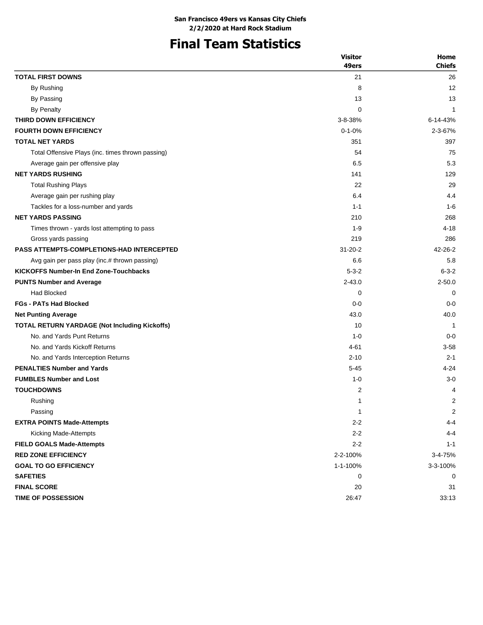# **Final Team Statistics**

|                                                      | <b>Visitor</b> | Home          |
|------------------------------------------------------|----------------|---------------|
|                                                      | 49ers          | <b>Chiefs</b> |
| <b>TOTAL FIRST DOWNS</b>                             | 21             | 26            |
| By Rushing                                           | 8              | 12            |
| By Passing                                           | 13             | 13            |
| By Penalty                                           | 0              | $\mathbf{1}$  |
| THIRD DOWN EFFICIENCY                                | $3 - 8 - 38%$  | 6-14-43%      |
| <b>FOURTH DOWN EFFICIENCY</b>                        | $0 - 1 - 0%$   | 2-3-67%       |
| <b>TOTAL NET YARDS</b>                               | 351            | 397           |
| Total Offensive Plays (inc. times thrown passing)    | 54             | 75            |
| Average gain per offensive play                      | 6.5            | 5.3           |
| <b>NET YARDS RUSHING</b>                             | 141            | 129           |
| <b>Total Rushing Plays</b>                           | 22             | 29            |
| Average gain per rushing play                        | 6.4            | 4.4           |
| Tackles for a loss-number and yards                  | $1 - 1$        | $1 - 6$       |
| <b>NET YARDS PASSING</b>                             | 210            | 268           |
| Times thrown - yards lost attempting to pass         | $1 - 9$        | $4 - 18$      |
| Gross yards passing                                  | 219            | 286           |
| <b>PASS ATTEMPTS-COMPLETIONS-HAD INTERCEPTED</b>     | $31 - 20 - 2$  | $42 - 26 - 2$ |
| Avg gain per pass play (inc.# thrown passing)        | 6.6            | 5.8           |
| <b>KICKOFFS Number-In End Zone-Touchbacks</b>        | $5 - 3 - 2$    | $6 - 3 - 2$   |
| <b>PUNTS Number and Average</b>                      | $2 - 43.0$     | $2 - 50.0$    |
| <b>Had Blocked</b>                                   | 0              | $\mathbf 0$   |
| <b>FGs - PATs Had Blocked</b>                        | $0 - 0$        | $0 - 0$       |
| <b>Net Punting Average</b>                           | 43.0           | 40.0          |
| <b>TOTAL RETURN YARDAGE (Not Including Kickoffs)</b> | 10             | -1            |
| No. and Yards Punt Returns                           | $1 - 0$        | $0 - 0$       |
| No. and Yards Kickoff Returns                        | $4 - 61$       | $3 - 58$      |
| No. and Yards Interception Returns                   | $2 - 10$       | $2 - 1$       |
| <b>PENALTIES Number and Yards</b>                    | $5 - 45$       | 4-24          |
| <b>FUMBLES Number and Lost</b>                       | $1 - 0$        | $3 - 0$       |
| <b>TOUCHDOWNS</b>                                    | 2              | 4             |
| Rushing                                              | 1              | 2             |
| Passing                                              | 1              | 2             |
| <b>EXTRA POINTS Made-Attempts</b>                    | $2 - 2$        | $4 - 4$       |
| Kicking Made-Attempts                                | $2 - 2$        | $4 - 4$       |
| <b>FIELD GOALS Made-Attempts</b>                     | $2 - 2$        | $1 - 1$       |
| <b>RED ZONE EFFICIENCY</b>                           | 2-2-100%       | 3-4-75%       |
| <b>GOAL TO GO EFFICIENCY</b>                         | 1-1-100%       | 3-3-100%      |
| <b>SAFETIES</b>                                      | 0              | 0             |
| <b>FINAL SCORE</b>                                   | 20             | 31            |
| TIME OF POSSESSION                                   | 26:47          | 33:13         |
|                                                      |                |               |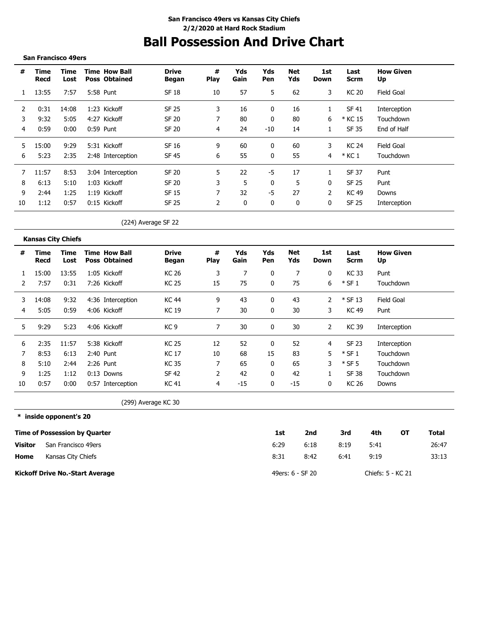## **Ball Possession And Drive Chart**

#### **San Francisco 49ers**

| #  | Time<br>Recd | Time<br>Lost | <b>Time How Ball</b><br><b>Poss Obtained</b> | <b>Drive</b><br>Began | #<br><b>Play</b> | Yds<br>Gain | Yds<br>Pen | Net<br>Yds | 1st<br>Down    | Last<br>Scrm | <b>How Given</b><br>Up |
|----|--------------|--------------|----------------------------------------------|-----------------------|------------------|-------------|------------|------------|----------------|--------------|------------------------|
|    | 13:55        | 7:57         | 5:58 Punt                                    | SF 18                 | 10               | 57          | 5          | 62         | 3              | <b>KC 20</b> | Field Goal             |
|    | 0:31         | 14:08        | 1:23 Kickoff                                 | <b>SF 25</b>          | 3                | 16          | 0          | 16         |                | SF 41        | Interception           |
| 3  | 9:32         | 5:05         | 4:27 Kickoff                                 | SF 20                 |                  | 80          | 0          | 80         | 6              | * KC 15      | Touchdown              |
| 4  | 0:59         | 0:00         | 0:59 Punt                                    | SF 20                 | 4                | 24          | $-10$      | 14         |                | SF 35        | End of Half            |
| 5  | 15:00        | 9:29         | 5:31 Kickoff                                 | SF 16                 | 9                | 60          | 0          | 60         | 3              | KC 24        | Field Goal             |
| 6  | 5:23         | 2:35         | 2:48 Interception                            | SF 45                 | 6                | 55          | $\Omega$   | 55         | 4              | $*$ KC 1     | Touchdown              |
| 7  | 11:57        | 8:53         | 3:04 Interception                            | SF 20                 | 5.               | 22          | -5         | 17         |                | SF 37        | Punt                   |
| 8  | 6:13         | 5:10         | 1:03 Kickoff                                 | SF 20                 |                  |             | 0          | 5          | 0              | SF 25        | Punt                   |
| 9  | 2:44         | 1:25         | 1:19 Kickoff                                 | SF 15                 |                  | 32          | -5         | 27         | $\overline{2}$ | <b>KC 49</b> | Downs                  |
| 10 | 1:12         | 0:57         | $0:15$ Kickoff                               | SF 25                 |                  |             | 0          | 0          | 0              | <b>SF 25</b> | Interception           |

#### (224) Average SF 22

**Time Recd Time Lost Time How Ball Poss Obtained Drive Began # Play Yds Pen Net Yds Yds Gain 1st Down Last Scrm How Given Up # Kansas City Chiefs** 1 15:00 13:55 1:05 Kickoff KC 26 3 7 0 7 0 KC 33 Punt 2 7:57 0:31 7:26 Kickoff KC 25 15 75 0 75 6 \* SF 1 Touchdown 3 14:08 9:32 4:36 Interception KC 44 9 43 0 43 2 \* SF 13 Field Goal 4 5:05 0:59 4:06 Kickoff KC 19 7 30 0 30 3 KC 49 Punt 5 9:29 5:23 4:06 Kickoff KC 9 7 30 0 30 2 KC 39 Interception 6 2:35 11:57 5:38 Kickoff KC 25 12 52 0 52 4 SF 23 Interception 7 8:53 6:13 2:40 Punt KC 17 10 68 15 83 5 \* SF 1 Touchdown 8 5:10 2:44 2:26 Punt KC 35 7 65 0 65 3 \* SF 5 Touchdown 9 1:25 1:12 0:13 Downs SF 42 2 42 0 42 1 SF 38 Touchdown 10 0:57 0:00 0:57 Interception KC 41 4 -15 0 -15 0 KC 26 Downs

(299) Average KC 30

#### **\* inside opponent's 20**

|                | <b>Time of Possession by Quarter</b>   | 1st  | 2nd              | 3rd  | 4th               | OТ | Total |
|----------------|----------------------------------------|------|------------------|------|-------------------|----|-------|
| <b>Visitor</b> | San Francisco 49ers                    | 6:29 | 6:18             | 8:19 | 5:41              |    | 26:47 |
| Home           | Kansas City Chiefs                     | 8:31 | 8:42             | 6:41 | 9:19              |    | 33:13 |
|                | <b>Kickoff Drive No.-Start Average</b> |      | 49ers: 6 - SF 20 |      | Chiefs: 5 - KC 21 |    |       |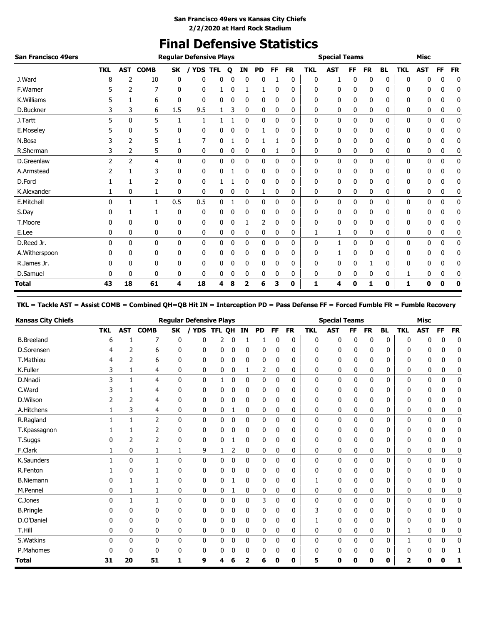# **Final Defensive Statistics**

| <b>San Francisco 49ers</b> |            |                |              |              | <b>Regular Defensive Plays</b> |            |              |              |           |              |           |            | <b>Special Teams</b> |    |           |              |            | <b>Misc</b> |    |           |
|----------------------------|------------|----------------|--------------|--------------|--------------------------------|------------|--------------|--------------|-----------|--------------|-----------|------------|----------------------|----|-----------|--------------|------------|-------------|----|-----------|
|                            | <b>TKL</b> | <b>AST</b>     | <b>COMB</b>  | <b>SK</b>    | / YDS                          | <b>TFL</b> | $\mathbf{o}$ | IN           | <b>PD</b> | FF           | <b>FR</b> | <b>TKL</b> | <b>AST</b>           | FF | <b>FR</b> | <b>BL</b>    | <b>TKL</b> | <b>AST</b>  | FF | <b>FR</b> |
| J.Ward                     | 8          | 2              | 10           | 0            | 0                              | 0          |              | 0            | 0         |              | 0         | 0          |                      | 0  | 0         | 0            | 0          | 0           | 0  | 0         |
| F.Warner                   |            | 2              |              | 0            | 0                              |            | 0            | -1           |           | 0            | 0         | 0          | 0                    | 0  | 0         | 0            | 0          | 0           | 0  | 0         |
| K.Williams                 |            |                | 6            | $\mathbf{0}$ | $\mathbf{0}$                   | 0          | 0            | 0            | 0         | 0            | 0         | 0          | 0                    | 0  | 0         | 0            | 0          | 0           | 0  | 0         |
| D.Buckner                  |            | 3              | 6            | 1.5          | 9.5                            | 1          | 3            | 0            | 0         | 0            | 0         | 0          | 0                    | 0  | 0         | 0            | 0          | 0           | 0  | 0         |
| J.Tartt                    | 5          | 0              | 5            | 1            | 1                              |            |              | 0            | 0         | 0            | 0         | 0          | 0                    | 0  | 0         | 0            | 0          | 0           | 0  | 0         |
| E.Moseley                  |            | 0              | 5            | 0            | 0                              | 0          |              | 0            | 1         | 0            | 0         | 0          | 0                    | 0  | 0         | 0            | 0          | 0           | 0  | 0         |
| N.Bosa                     |            | 2              | 5            |              | 7                              | 0          |              | 0            |           |              | 0         | 0          | 0                    | 0  | 0         | 0            | 0          | 0           | 0  | 0         |
| R.Sherman                  | 3          | 2              | 5            | 0            | 0                              | 0          | 0            | 0            | 0         |              | 0         | 0          | 0                    | 0  | 0         | 0            | 0          | 0           | 0  | 0         |
| D.Greenlaw                 |            | $\overline{2}$ | 4            | $\mathbf{0}$ | $\mathbf{0}$                   | 0          | 0            | $\mathbf 0$  | 0         | $\Omega$     | 0         | 0          | 0                    | 0  | 0         | $\Omega$     | 0          | 0           | 0  | 0         |
| A.Armstead                 |            |                | 3            | 0            | 0                              | 0          |              | 0            | 0         | 0            | 0         | 0          | 0                    | 0  | 0         | 0            | 0          | 0           | 0  | 0         |
| D.Ford                     |            |                | 2            | 0            | 0                              |            |              | 0            | 0         | 0            | 0         | 0          | 0                    | 0  | 0         | 0            | 0          | 0           | 0  | 0         |
| K.Alexander                |            | 0              | 1            | 0            | 0                              | 0          |              | 0            | 1         | 0            | 0         | 0          | 0                    | 0  | 0         | 0            | 0          | 0           | 0  | 0         |
| E.Mitchell                 | 0          | 1              | 1            | 0.5          | 0.5                            | 0          |              | $\mathbf 0$  | 0         | 0            | 0         | 0          | 0                    | 0  | 0         | 0            | 0          | 0           | 0  | 0         |
| S.Day                      |            |                |              | 0            | 0                              | 0          |              | 0            | 0         | 0            | 0         | 0          | 0                    | 0  | 0         | 0            | 0          | 0           | 0  | 0         |
| T.Moore                    |            | 0              | 0            | 0            | 0                              | 0          | 0            | 1            | 2         | 0            | 0         | 0          | 0                    | 0  | 0         | 0            | 0          | 0           | 0  | 0         |
| E.Lee                      | 0          | 0              | 0            | 0            | 0                              | 0          | 0            | 0            | 0         | 0            | 0         |            | 1                    | 0  | 0         | 0            | 0          | 0           | 0  | 0         |
| D.Reed Jr.                 | U          | $\mathbf{0}$   | $\mathbf{0}$ | $\mathbf{0}$ | $\mathbf{0}$                   | 0          | 0            | $\mathbf 0$  | 0         | $\mathbf{0}$ | 0         | 0          | $\mathbf{1}$         | 0  | 0         | $\mathbf{0}$ | 0          | 0           | 0  | 0         |
| A.Witherspoon              |            | 0              | 0            | 0            | 0                              | 0          | 0            | 0            | 0         | 0            | 0         | 0          |                      | 0  | 0         | 0            | 0          | 0           | 0  | 0         |
| R.James Jr.                |            | 0              | 0            | 0            | 0                              | 0          |              | 0            | 0         | 0            | 0         | 0          | 0                    |    |           | 0            | 0          | 0           | 0  | 0         |
| D.Samuel                   | 0          | 0              | 0            | 0            | 0                              | 0          | 0            | 0            | 0         | 0            | 0         | 0          | 0                    | 0  | 0         | 0            | 1          | 0           | 0  | 0         |
| Total                      | 43         | 18             | 61           | 4            | 18                             | 4          | 8            | $\mathbf{2}$ | 6         | з            | 0         | 1          | 4                    | 0  | 1         | 0            | 1          | 0           | 0  | 0         |

## **TKL = Tackle AST = Assist COMB = Combined QH=QB Hit IN = Interception PD = Pass Defense FF = Forced Fumble FR = Fumble Recovery**

| <b>Kansas City Chiefs</b> |            |            |                |              | <b>Regular Defensive Plays</b> |        |   |    |              |    |           |              | <b>Special Teams</b> |           |              |              |            | <b>Misc</b>  |              |              |
|---------------------------|------------|------------|----------------|--------------|--------------------------------|--------|---|----|--------------|----|-----------|--------------|----------------------|-----------|--------------|--------------|------------|--------------|--------------|--------------|
|                           | <b>TKL</b> | <b>AST</b> | <b>COMB</b>    | SK           | / YDS                          | TFL OH |   | ΙN | <b>PD</b>    | FF | <b>FR</b> | <b>TKL</b>   | <b>AST</b>           | <b>FF</b> | <b>FR</b>    | <b>BL</b>    | <b>TKL</b> | <b>AST</b>   | <b>FF</b>    | <b>FR</b>    |
| <b>B.</b> Breeland        | 6          |            | 7              | 0            | U                              |        | 0 |    |              | 0  | 0         | 0            | 0                    | 0         | 0            | 0            | 0          | U            | 0            | 0            |
| D.Sorensen                |            | 2          | 6              | 0            | 0                              | 0      | 0 | 0  | 0            | 0  | 0         | 0            | 0                    | 0         | 0            | 0            | 0          | 0            | 0            | 0            |
| T.Mathieu                 |            | 2          | 6              | 0            | 0                              | 0      | 0 | 0  | 0            | 0  | 0         | 0            | 0                    | 0         | 0            | 0            | 0          | 0            | 0            | 0            |
| K.Fuller                  | 3          | 1          | 4              | 0            | 0                              | 0      | 0 | 1  | 2            | 0  | 0         | 0            | 0                    | 0         | 0            | 0            | 0          | 0            | 0            | 0            |
| D.Nnadi                   | 3          | 1          | 4              | $\mathbf{0}$ | 0                              | 1      | 0 | 0  | 0            | 0  | 0         | $\mathbf{0}$ | 0                    | 0         | $\mathbf{0}$ | 0            | 0          | $\mathbf{0}$ | 0            | 0            |
| C.Ward                    |            |            | 4              | 0            | 0                              | 0      | 0 | 0  | 0            | 0  | 0         | 0            | 0                    | 0         | 0            | 0            | 0          | 0            | 0            | 0            |
| D.Wilson                  |            | 2          | 4              | 0            | 0                              | 0      | 0 | 0  | 0            | 0  | 0         | 0            | 0                    | 0         | 0            | 0            | 0          | 0            | 0            | 0            |
| A.Hitchens                |            | 3          | 4              | 0            | 0                              | 0      | 1 | 0  | 0            | 0  | 0         | 0            | 0                    | 0         | 0            | 0            | 0          | 0            | 0            | 0            |
| R.Ragland                 |            | 1          | 2              | $\mathbf{0}$ | 0                              | 0      | 0 | 0  | 0            | 0  | 0         | $\mathbf{0}$ | 0                    | 0         | 0            | 0            | 0          | 0            | 0            | 0            |
| T.Kpassagnon              |            |            | 2              | 0            | 0                              | 0      | 0 | 0  | 0            | 0  | 0         | 0            | 0                    | 0         | 0            | 0            | 0          | 0            |              | 0            |
| T.Suggs                   |            | 2          | $\overline{2}$ | 0            | 0                              | 0      |   | 0  | 0            | 0  | 0         | 0            | 0                    | 0         | 0            | 0            | 0          | 0            | 0            | 0            |
| F.Clark                   |            | 0          | 1              | 1            | 9                              | 1      | 2 | 0  | 0            | 0  | 0         | 0            | 0                    | 0         | 0            | 0            | 0          | 0            | 0            | 0            |
| K.Saunders                |            | 0          | $\mathbf{1}$   | $\mathbf{0}$ | $\mathbf 0$                    | 0      | 0 | 0  | 0            | 0  | 0         | 0            | 0                    | 0         | 0            | 0            | 0          | 0            | 0            | 0            |
| R.Fenton                  |            | 0          |                | 0            | 0                              | 0      | 0 | 0  | 0            | 0  | 0         | 0            | 0                    | 0         | 0            | 0            | 0          | 0            | ŋ            | 0            |
| <b>B.Niemann</b>          |            | 1          | 1              | 0            | 0                              | 0      |   | 0  | 0            | 0  | 0         | 1            | 0                    | 0         | 0            | 0            | 0          | 0            | 0            | 0            |
| M.Pennel                  | 0          | 1          | 1              | 0            | 0                              | 0      | 1 | 0  | 0            | 0  | 0         | 0            | 0                    | 0         | 0            | 0            | 0          | 0            | 0            | 0            |
| C.Jones                   | 0          | 1          | $\mathbf{1}$   | $\mathbf{0}$ | 0                              | 0      | 0 | 0  | 3            | 0  | 0         | $\mathbf{0}$ | 0                    | 0         | $\mathbf{0}$ | $\mathbf{0}$ | 0          | $\mathbf{0}$ | $\Omega$     | $\mathbf{0}$ |
| <b>B.Pringle</b>          |            | 0          | 0              | 0            | 0                              | 0      | 0 | 0  | 0            | 0  | 0         | 3            | 0                    | 0         | 0            | 0            | 0          |              | n            | 0            |
| D.O'Daniel                |            | 0          | 0              | 0            | 0                              | 0      | 0 | 0  | 0            | 0  | 0         | 1            | 0                    | 0         | 0            | 0            | 0          | 0            | 0            | 0            |
| T.Hill                    | 0          | 0          | 0              | 0            | 0                              | 0      | 0 | 0  | 0            | 0  | 0         | 0            | 0                    | 0         | 0            | 0            |            | 0            | 0            | 0            |
| S.Watkins                 | 0          | 0          | 0              | $\mathbf{0}$ | 0                              | 0      | 0 | 0  | $\mathbf{0}$ | 0  | 0         | 0            | 0                    | 0         | $\mathbf{0}$ | 0            |            | $\mathbf{0}$ | $\mathbf{0}$ | 0            |
| P.Mahomes                 |            | 0          | 0              | 0            | 0                              | 0      | 0 | 0  | 0            | 0  | 0         | 0            | 0                    | 0         | 0            | 0            | 0          |              |              |              |
| Total                     | 31         | 20         | 51             | 1            | 9                              |        |   |    | 6            | 0  | 0         | 5            | 0                    | Λ         | 0            | 0            | 2          | n            |              |              |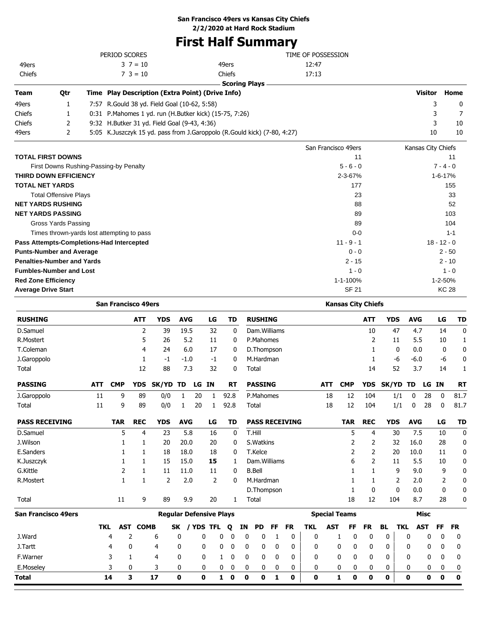## **San Francisco 49ers vs Kansas City Chiefs**

**2/2/2020 at Hard Rock Stadium**

# **First Half Summary**

| PERIOD SCORES<br>TIME OF POSSESSION<br>$3 \t7 = 10$<br>49ers<br>12:47<br>49ers                                                                                             |                    |                                 |
|----------------------------------------------------------------------------------------------------------------------------------------------------------------------------|--------------------|---------------------------------|
|                                                                                                                                                                            |                    |                                 |
|                                                                                                                                                                            |                    |                                 |
| $7 \t3 = 10$<br>Chiefs<br>17:13<br>Chiefs                                                                                                                                  |                    |                                 |
| <b>Scoring Plays -</b>                                                                                                                                                     |                    |                                 |
| Qtr<br>Time Play Description (Extra Point) (Drive Info)<br>Team                                                                                                            | <b>Visitor</b>     | Home                            |
| 49ers<br>7:57 R. Gould 38 yd. Field Goal (10-62, 5:58)<br>1                                                                                                                | 3                  | 0                               |
| Chiefs<br>1<br>0:31 P.Mahomes 1 yd. run (H.Butker kick) (15-75, 7:26)                                                                                                      | 3                  | 7                               |
| 9:32 H.Butker 31 yd. Field Goal (9-43, 4:36)<br>Chiefs<br>2                                                                                                                | 3                  | 10                              |
| 49ers<br>2<br>5:05 K.Juszczyk 15 yd. pass from J.Garoppolo (R.Gould kick) (7-80, 4:27)                                                                                     | 10                 | 10                              |
| San Francisco 49ers                                                                                                                                                        | Kansas City Chiefs |                                 |
| <b>TOTAL FIRST DOWNS</b><br>11                                                                                                                                             |                    | 11                              |
| $5 - 6 - 0$<br>First Downs Rushing-Passing-by Penalty                                                                                                                      |                    | $7 - 4 - 0$                     |
| THIRD DOWN EFFICIENCY<br>2-3-67%                                                                                                                                           |                    | $1 - 6 - 17%$                   |
| <b>TOTAL NET YARDS</b><br>177                                                                                                                                              |                    | 155                             |
| <b>Total Offensive Plays</b><br>23                                                                                                                                         |                    | 33                              |
| <b>NET YARDS RUSHING</b><br>88                                                                                                                                             |                    | 52                              |
| <b>NET YARDS PASSING</b><br>89                                                                                                                                             |                    | 103                             |
| <b>Gross Yards Passing</b><br>89                                                                                                                                           |                    | 104                             |
| $0 - 0$<br>Times thrown-yards lost attempting to pass                                                                                                                      |                    | $1 - 1$                         |
| Pass Attempts-Completions-Had Intercepted<br>$11 - 9 - 1$                                                                                                                  |                    | $18 - 12 - 0$                   |
| <b>Punts-Number and Average</b><br>$0 - 0$                                                                                                                                 |                    | $2 - 50$                        |
| <b>Penalties-Number and Yards</b><br>$2 - 15$                                                                                                                              |                    | $2 - 10$                        |
| <b>Fumbles-Number and Lost</b><br>$1 - 0$                                                                                                                                  |                    | $1 - 0$                         |
| <b>Red Zone Efficiency</b><br>1-1-100%                                                                                                                                     |                    | 1-2-50%                         |
| <b>Average Drive Start</b><br>SF 21                                                                                                                                        |                    | <b>KC 28</b>                    |
| <b>San Francisco 49ers</b><br><b>Kansas City Chiefs</b>                                                                                                                    |                    |                                 |
| <b>RUSHING</b><br><b>YDS</b><br><b>AVG</b><br>LG<br><b>RUSHING</b><br><b>YDS</b><br><b>AVG</b><br><b>ATT</b><br>TD<br>ATT                                                  |                    | LG<br>TD                        |
| D.Samuel<br>2<br>39<br>19.5<br>32<br>0<br>Dam. Williams<br>10<br>47<br>4.7                                                                                                 |                    | 14<br>$\mathbf 0$               |
| 5<br>5.2<br>R.Mostert<br>26<br>11<br>0<br>P.Mahomes<br>2<br>11<br>5.5                                                                                                      |                    | 10<br>1                         |
| T.Coleman<br>6.0<br>4<br>24<br>17<br>D.Thompson<br>1<br>0<br>0.0<br>0                                                                                                      |                    | 0<br>0                          |
| M.Hardman<br>J.Garoppolo<br>1<br>-1<br>$-1.0$<br>$-1$<br>0<br>1<br>-6<br>$-6.0$                                                                                            |                    | -6<br>0                         |
| 12<br>7.3<br>32<br>52<br>3.7<br>Total<br>88<br>0<br>Total<br>14                                                                                                            |                    | 14<br>1                         |
| <b>PASSING</b><br><b>PASSING</b><br>YDS SK/YD TD<br>ATT<br><b>CMP</b><br>YDS SK/YD TD LG IN<br>RT<br>ATT<br><b>CMP</b>                                                     | LG IN              | RT                              |
| 18<br>104<br>11<br>89<br>0/0<br>20<br>92.8<br>12<br>1/1<br>9<br>$\mathbf{1}$<br>$\mathbf{1}$<br>P.Mahomes<br>0<br>J.Garoppolo                                              | 28                 | 81.7<br>$\overline{\mathbf{0}}$ |
| 11<br>9<br>0/0<br>$\mathbf{1}$<br>20<br>$\mathbf{1}$<br>92.8<br>18<br>12<br>104<br>1/1<br>0<br>Total<br>89<br>Total                                                        | 28                 | 0<br>81.7                       |
| <b>PASS RECEIVING</b><br><b>TAR</b><br><b>REC</b><br><b>YDS</b><br><b>AVG</b><br>LG<br><b>PASS RECEIVING</b><br><b>TAR</b><br><b>REC</b><br><b>YDS</b><br><b>AVG</b><br>TD |                    | LG<br>TD                        |
| 5<br>T.Hill<br>5<br>D.Samuel<br>5.8<br>7.5<br>4<br>23<br>16<br>0<br>30<br>4                                                                                                |                    | 0<br>10                         |
| J.Wilson<br>S. Watkins<br>1<br>20.0<br>20<br>32<br>16.0<br>1<br>20<br>0<br>2<br>2                                                                                          |                    | 28<br>0                         |
| E.Sanders<br>18.0<br>T.Kelce<br>2<br>2<br>10.0<br>1<br>1<br>18<br>18<br>20<br>0                                                                                            |                    | 0<br>11                         |
| K.Juszczyk<br>15<br>15.0<br>Dam. Williams<br>6<br>2<br>5.5<br>$\mathbf{1}$<br>$\mathbf{1}$<br>15<br>11<br>1                                                                |                    | 10<br>0                         |

| R.Mostert                  |     |     |             | 2         | 2.0                                                    | $\mathbf{2}^{\prime}$ | 0            |              | M.Hardman  |              |              |             |            |    |              |              | 2   | 2.0          | 2        | 0  |
|----------------------------|-----|-----|-------------|-----------|--------------------------------------------------------|-----------------------|--------------|--------------|------------|--------------|--------------|-------------|------------|----|--------------|--------------|-----|--------------|----------|----|
|                            |     |     |             |           |                                                        |                       |              |              | D.Thompson |              |              |             |            |    | 0            |              | 0   | 0.0          | 0        | 0  |
| Total                      |     | 11  | 9           | 89        | 9.9                                                    | 20                    | 1            |              | Total      |              |              |             |            | 18 | 12           |              | 104 | 8.7          | 28       | 0  |
| <b>San Francisco 49ers</b> |     |     |             |           | <b>Regular Defensive Plays</b><br><b>Special Teams</b> |                       |              |              |            |              |              |             |            |    | Misc         |              |     |              |          |    |
|                            | TKL | AST | <b>COMB</b> | <b>SK</b> | / YDS TFL                                              |                       | Q            | IN           | <b>PD</b>  | FF           | FR           | TKL         | <b>AST</b> | FF | <b>FR</b>    | BL           | TKL | AST          | FF FR    |    |
| J.Ward                     | 4   |     | 6           | 0         |                                                        | 0                     | $\mathbf{0}$ | 0            | 0          |              | 0            | 0           |            | 0  | 0            | 0            | 0   | 0            | 0        | 0  |
| J.Tartt                    | 4   | 0   | 4           | 0         | 0                                                      | 0                     | $\Omega$     | 0            | 0          | 0            | $\mathbf{0}$ | 0           | 0          | 0  | 0            | 0            | 0   | 0            | 0        | 0  |
| F.Warner                   | 3   |     | 4           | 0         | 0                                                      |                       | 0            | 0            | 0          | 0            | $\mathbf{0}$ | 0           | 0          | 0  | 0            | 0            | 0   | 0            | 0        | -0 |
| E.Moseley                  | 3   | 0   | 3           | 0         | 0                                                      | 0                     | $\mathbf{0}$ | $\mathbf{0}$ | 0          | $\mathbf{0}$ | $\Omega$     | $\mathbf 0$ | 0          | 0  | $\mathbf{0}$ | $\mathbf{0}$ | 0   | $\mathbf{0}$ | $\Omega$ | 0  |
| Total                      | 14  | 3   | 17          | 0         | 0                                                      | 1                     | 0            | 0            | 0          |              | 0            | 0           | 1          | 0  | 0            | 0            | 0   | 0            | 0        | 0  |
|                            |     |     |             |           |                                                        |                       |              |              |            |              |              |             |            |    |              |              |     |              |          |    |

G.Kittle 2 1 11 11.0 11 0 B.Bell 1 1 9 9.0 9 0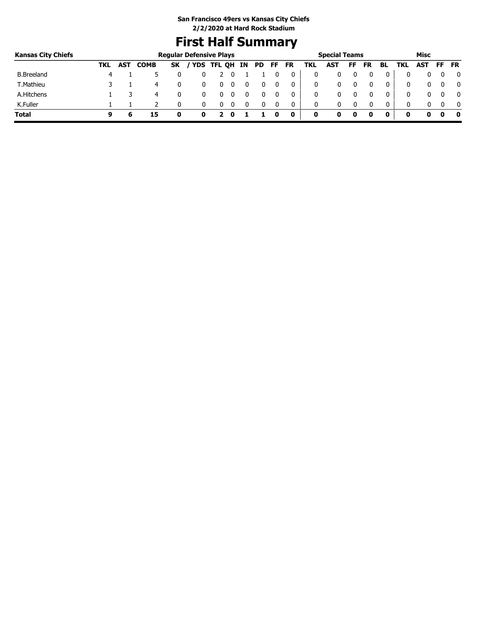# **First Half Summary**

| <b>Kansas City Chiefs</b> |     |     |             |           | <b>Regular Defensive Plays</b> |   |  |      |     |           |      | <b>Special Teams</b> |     |    |     |     | Misc |     |           |
|---------------------------|-----|-----|-------------|-----------|--------------------------------|---|--|------|-----|-----------|------|----------------------|-----|----|-----|-----|------|-----|-----------|
|                           | TKL | AST | <b>COMB</b> | <b>SK</b> | YDS TFL QH IN                  |   |  | PD 7 | FF. | <b>FR</b> | TKL. | AST                  | FF. | FR | BL. | TKL | AST  | FF. | <b>FR</b> |
| <b>B.Breeland</b>         |     |     |             |           |                                |   |  |      |     | 0         | 0    |                      |     |    | 0   |     |      |     | 0         |
| T.Mathieu                 |     |     | 4           |           |                                | 0 |  |      |     | 0         | 0    |                      |     |    | 0   |     |      |     | 0         |
| A.Hitchens                |     |     | 4           |           |                                |   |  |      |     | 0         | 0    |                      |     |    | 0   |     |      |     | 0         |
| K.Fuller                  |     |     |             |           |                                |   |  |      |     | 0         | 0    |                      |     |    | 0   |     |      |     | - 0       |
| Total                     |     |     | 15          |           |                                |   |  |      |     | 0         | 0    |                      | 0   |    |     |     |      |     | 0         |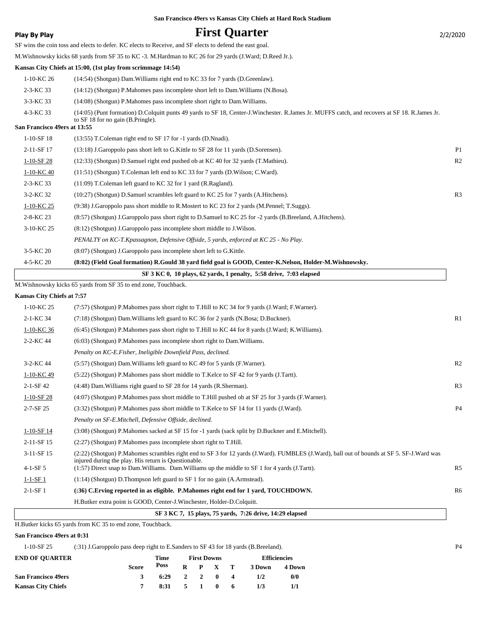| Play By Play                              | <b>First Quarter</b>                                                                                                                                                                                                                                                                                 | 2/2/2020       |
|-------------------------------------------|------------------------------------------------------------------------------------------------------------------------------------------------------------------------------------------------------------------------------------------------------------------------------------------------------|----------------|
|                                           | SF wins the coin toss and elects to defer. KC elects to Receive, and SF elects to defend the east goal.                                                                                                                                                                                              |                |
|                                           | M.Wishnowsky kicks 68 yards from SF 35 to KC -3. M.Hardman to KC 26 for 29 yards (J.Ward; D.Reed Jr.).                                                                                                                                                                                               |                |
|                                           | Kansas City Chiefs at 15:00, (1st play from scrimmage 14:54)                                                                                                                                                                                                                                         |                |
| 1-10-KC 26                                | (14:54) (Shotgun) Dam. Williams right end to KC 33 for 7 yards (D. Greenlaw).                                                                                                                                                                                                                        |                |
| 2-3-KC 33                                 | (14:12) (Shotgun) P.Mahomes pass incomplete short left to Dam. Williams (N.Bosa).                                                                                                                                                                                                                    |                |
| $3 - 3 - KC$ 33                           | (14:08) (Shotgun) P.Mahomes pass incomplete short right to Dam. Williams.                                                                                                                                                                                                                            |                |
| 4-3-KC 33<br>San Francisco 49ers at 13:55 | (14:05) (Punt formation) D.Colquitt punts 49 yards to SF 18, Center-J.Winchester. R.James Jr. MUFFS catch, and recovers at SF 18. R.James Jr.<br>to SF 18 for no gain (B.Pringle).                                                                                                                   |                |
| 1-10-SF 18                                | (13:55) T. Coleman right end to SF 17 for -1 yards (D. Nnadi).                                                                                                                                                                                                                                       |                |
| 2-11-SF 17                                | (13:18) J.Garoppolo pass short left to G.Kittle to SF 28 for 11 yards (D.Sorensen).                                                                                                                                                                                                                  | P1             |
| $1 - 10 - SF$ 28                          | (12:33) (Shotgun) D.Samuel right end pushed ob at KC 40 for 32 yards (T.Mathieu).                                                                                                                                                                                                                    | R <sub>2</sub> |
| 1-10-KC 40                                | (11:51) (Shotgun) T.Coleman left end to KC 33 for 7 yards (D.Wilson; C.Ward).                                                                                                                                                                                                                        |                |
| 2-3-KC 33                                 | (11:09) T.Coleman left guard to KC 32 for 1 yard (R.Ragland).                                                                                                                                                                                                                                        |                |
| $3 - 2 - KC$ 32                           | (10:27) (Shotgun) D.Samuel scrambles left guard to KC 25 for 7 yards (A.Hitchens).                                                                                                                                                                                                                   | R <sub>3</sub> |
| 1-10-KC 25                                | (9:38) J.Garoppolo pass short middle to R.Mostert to KC 23 for 2 yards (M.Pennel; T.Suggs).                                                                                                                                                                                                          |                |
| 2-8-KC 23                                 | (8.57) (Shotgun) J.Garoppolo pass short right to D.Samuel to KC 25 for -2 yards (B.Breeland, A.Hitchens).                                                                                                                                                                                            |                |
| 3-10-KC 25                                | (8:12) (Shotgun) J.Garoppolo pass incomplete short middle to J.Wilson.                                                                                                                                                                                                                               |                |
|                                           | PENALTY on KC-T.Kpassagnon, Defensive Offside, 5 yards, enforced at KC 25 - No Play.                                                                                                                                                                                                                 |                |
| 3-5-KC 20                                 | (8:07) (Shotgun) J.Garoppolo pass incomplete short left to G.Kittle.                                                                                                                                                                                                                                 |                |
| 4-5-KC 20                                 | (8:02) (Field Goal formation) R.Gould 38 yard field goal is GOOD, Center-K.Nelson, Holder-M.Wishnowsky.                                                                                                                                                                                              |                |
|                                           | SF 3 KC 0, 10 plays, 62 yards, 1 penalty, 5:58 drive, 7:03 elapsed                                                                                                                                                                                                                                   |                |
|                                           | M. Wishnowsky kicks 65 yards from SF 35 to end zone, Touchback.                                                                                                                                                                                                                                      |                |
| Kansas City Chiefs at 7:57                |                                                                                                                                                                                                                                                                                                      |                |
| 1-10-KC 25                                | (7:57) (Shotgun) P.Mahomes pass short right to T.Hill to KC 34 for 9 yards (J.Ward; F.Warner).                                                                                                                                                                                                       |                |
| 2-1-KC 34                                 | (7:18) (Shotgun) Dam. Williams left guard to KC 36 for 2 yards (N.Bosa; D.Buckner).                                                                                                                                                                                                                  | R1             |
| 1-10-KC 36                                | (6:45) (Shotgun) P.Mahomes pass short right to T.Hill to KC 44 for 8 yards (J.Ward; K.Williams).                                                                                                                                                                                                     |                |
| 2-2-KC 44                                 | (6:03) (Shotgun) P.Mahomes pass incomplete short right to Dam. Williams.                                                                                                                                                                                                                             |                |
|                                           | Penalty on KC-E.Fisher, Ineligible Downfield Pass, declined.                                                                                                                                                                                                                                         |                |
| 3-2-KC 44                                 | (5:57) (Shotgun) Dam. Williams left guard to KC 49 for 5 yards (F. Warner).                                                                                                                                                                                                                          | R <sub>2</sub> |
| 1-10-KC 49                                | (5:22) (Shotgun) P.Mahomes pass short middle to T.Kelce to SF 42 for 9 yards (J.Tartt).                                                                                                                                                                                                              |                |
| $2 - 1 - SF 42$                           | (4:48) Dam. Williams right guard to SF 28 for 14 yards (R. Sherman).                                                                                                                                                                                                                                 | R <sub>3</sub> |
| $1-10-SF$ 28                              | (4:07) (Shotgun) P.Mahomes pass short middle to T.Hill pushed ob at SF 25 for 3 yards (F.Warner).                                                                                                                                                                                                    |                |
| 2-7-SF 25                                 | (3:32) (Shotgun) P.Mahomes pass short middle to T.Kelce to SF 14 for 11 yards (J.Ward).                                                                                                                                                                                                              | P4             |
|                                           | Penalty on SF-E.Mitchell, Defensive Offside, declined.                                                                                                                                                                                                                                               |                |
| $1-10-SF14$                               | (3:08) (Shotgun) P.Mahomes sacked at SF 15 for -1 yards (sack split by D.Buckner and E.Mitchell).                                                                                                                                                                                                    |                |
| 2-11-SF 15                                | (2:27) (Shotgun) P.Mahomes pass incomplete short right to T.Hill.                                                                                                                                                                                                                                    |                |
| 3-11-SF 15                                | (2:22) (Shotgun) P.Mahomes scrambles right end to SF 3 for 12 yards (J.Ward). FUMBLES (J.Ward), ball out of bounds at SF 5. SF-J.Ward was<br>injured during the play. His return is Questionable.<br>(1:57) Direct snap to Dam. Williams. Dam. Williams up the middle to SF 1 for 4 yards (J.Tartt). |                |
| $4-1-SF5$<br>$1 - 1 - SF$ 1               | (1:14) (Shotgun) D.Thompson left guard to SF 1 for no gain (A.Armstead).                                                                                                                                                                                                                             | R5             |
| $2-1-SF1$                                 | (:36) C.Erving reported in as eligible. P.Mahomes right end for 1 yard, TOUCHDOWN.                                                                                                                                                                                                                   | R6             |
|                                           |                                                                                                                                                                                                                                                                                                      |                |
|                                           | H.Butker extra point is GOOD, Center-J.Winchester, Holder-D.Colquitt.                                                                                                                                                                                                                                |                |

 **SF 3 KC 7, 15 plays, 75 yards, 7:26 drive, 14:29 elapsed**

H.Butker kicks 65 yards from KC 35 to end zone, Touchback.

**San Francisco 49ers at 0:31**

1-10-SF 25 (:31) J.Garoppolo pass deep right to E.Sanders to SF 43 for 18 yards (B.Breeland). P4

| <b>END OF OUARTER</b>      |       | Time           |  | <b>First Downs</b> |        | <b>Efficiencies</b> |
|----------------------------|-------|----------------|--|--------------------|--------|---------------------|
|                            | Score | Poss           |  | R P X T            | 3 Down | 4 Down              |
| <b>San Francisco 49ers</b> |       | $6:29$ 2 2 0 4 |  |                    | 1/2    | 0/0                 |
| <b>Kansas City Chiefs</b>  |       | 8:31           |  | 5 1 0 6            | 173    |                     |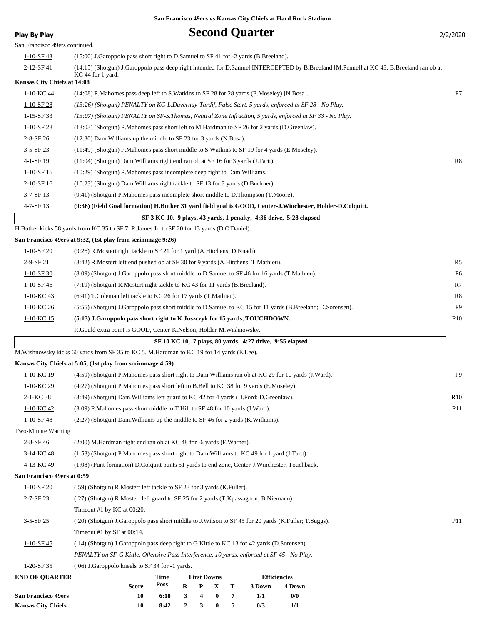## **Play By Play Second Quarter** 2/2/2020

| San Francisco 49ers continued. |                                                                                                                                         |                 |
|--------------------------------|-----------------------------------------------------------------------------------------------------------------------------------------|-----------------|
| $1-10-SF$ 43                   | (15:00) J.Garoppolo pass short right to D.Samuel to SF 41 for -2 yards (B.Breeland).                                                    |                 |
| 2-12-SF 41                     | (14:15) (Shotgun) J.Garoppolo pass deep right intended for D.Samuel INTERCEPTED by B.Breeland [M.Pennel] at KC 43. B.Breeland ran ob at |                 |
| Kansas City Chiefs at 14:08    | KC 44 for 1 yard.                                                                                                                       |                 |
| 1-10-KC 44                     | (14:08) P.Mahomes pass deep left to S.Watkins to SF 28 for 28 yards (E.Moseley) [N.Bosa].                                               | P7              |
| $1-10-SF$ 28                   | (13:26) (Shotgun) PENALTY on KC-L.Duvernay-Tardif, False Start, 5 yards, enforced at SF 28 - No Play.                                   |                 |
| $1-15-SF33$                    | (13:07) (Shotgun) PENALTY on SF-S.Thomas, Neutral Zone Infraction, 5 yards, enforced at SF 33 - No Play.                                |                 |
| $1-10-SF28$                    | (13:03) (Shotgun) P. Mahomes pass short left to M. Hardman to SF 26 for 2 yards (D. Greenlaw).                                          |                 |
| $2 - 8 - SF 26$                | $(12:30)$ Dam. Williams up the middle to SF 23 for 3 yards (N.Bosa).                                                                    |                 |
| $3-5-SF23$                     | (11:49) (Shotgun) P.Mahomes pass short middle to S.Watkins to SF 19 for 4 yards (E.Moseley).                                            |                 |
| 4-1-SF 19                      | $(11:04)$ (Shotgun) Dam. Williams right end ran ob at SF 16 for 3 yards (J.Tartt).                                                      | R8              |
| $1-10-SF$ 16                   | (10:29) (Shotgun) P.Mahomes pass incomplete deep right to Dam. Williams.                                                                |                 |
| 2-10-SF 16                     | (10:23) (Shotgun) Dam. Williams right tackle to SF 13 for 3 yards (D.Buckner).                                                          |                 |
| $3 - 7 - SF$ 13                | (9:41) (Shotgun) P.Mahomes pass incomplete short middle to D.Thompson (T.Moore).                                                        |                 |
| 4-7-SF 13                      | (9:36) (Field Goal formation) H.Butker 31 yard field goal is GOOD, Center-J.Winchester, Holder-D.Colquitt.                              |                 |
|                                | SF 3 KC 10, 9 plays, 43 yards, 1 penalty, 4:36 drive, 5:28 elapsed                                                                      |                 |
|                                | H.Butker kicks 58 yards from KC 35 to SF 7. R.James Jr. to SF 20 for 13 yards (D.O'Daniel).                                             |                 |
|                                | San Francisco 49ers at 9:32, (1st play from scrimmage 9:26)                                                                             |                 |
| $1-10-SF$ 20                   | (9:26) R.Mostert right tackle to SF 21 for 1 yard (A.Hitchens; D.Nnadi).                                                                |                 |
| 2-9-SF 21                      | (8:42) R.Mostert left end pushed ob at SF 30 for 9 yards (A.Hitchens; T.Mathieu).                                                       | R <sub>5</sub>  |
| $1-10-SF$ 30                   | (8.09) (Shotgun) J.Garoppolo pass short middle to D.Samuel to SF 46 for 16 yards (T.Mathieu).                                           | P <sub>6</sub>  |
| $1-10-SF$ 46                   | $(7.19)$ (Shotgun) R.Mostert right tackle to KC 43 for 11 yards (B.Breeland).                                                           | R7              |
| 1-10-KC 43                     | (6:41) T. Coleman left tackle to KC 26 for 17 yards (T. Mathieu).                                                                       | R8              |
| 1-10-KC 26                     | (5.55) (Shotgun) J.Garoppolo pass short middle to D.Samuel to KC 15 for 11 yards (B.Breeland; D.Sorensen).                              | P <sub>9</sub>  |
| 1-10-KC 15                     | (5:13) J.Garoppolo pass short right to K.Juszczyk for 15 yards, TOUCHDOWN.                                                              | P10             |
|                                | R.Gould extra point is GOOD, Center-K.Nelson, Holder-M.Wishnowsky.                                                                      |                 |
|                                | SF 10 KC 10, 7 plays, 80 yards, 4:27 drive, 9:55 elapsed                                                                                |                 |
|                                | M. Wishnowsky kicks 60 yards from SF 35 to KC 5. M. Hardman to KC 19 for 14 yards (E.Lee).                                              |                 |
|                                | Kansas City Chiefs at 5:05, (1st play from scrimmage 4:59)                                                                              |                 |
| 1-10-KC 19                     | (4:59) (Shotgun) P.Mahomes pass short right to Dam. Williams ran ob at KC 29 for 10 yards (J.Ward).                                     | P <sub>9</sub>  |
| 1-10-KC 29                     | (4:27) (Shotgun) P.Mahomes pass short left to B.Bell to KC 38 for 9 yards (E.Moseley).                                                  |                 |
| 2-1-KC 38                      | (3:49) (Shotgun) Dam. Williams left guard to KC 42 for 4 yards (D.Ford; D.Greenlaw).                                                    | R <sub>10</sub> |
| $1-10-KC$ 42                   | (3:09) P.Mahomes pass short middle to T.Hill to SF 48 for 10 yards (J.Ward).                                                            | P11             |
| $1 - 10 - SF$ 48               | (2:27) (Shotgun) Dam. Williams up the middle to SF 46 for 2 yards (K. Williams).                                                        |                 |
| Two-Minute Warning             |                                                                                                                                         |                 |
| $2 - 8 - SF 46$                | (2:00) M.Hardman right end ran ob at KC 48 for -6 yards (F.Warner).                                                                     |                 |
| 3-14-KC 48                     | $(1:53)$ (Shotgun) P. Mahomes pass short right to Dam. Williams to KC 49 for 1 yard (J. Tartt).                                         |                 |
| 4-13-KC 49                     | (1:08) (Punt formation) D.Colquitt punts 51 yards to end zone, Center-J.Winchester, Touchback.                                          |                 |
| San Francisco 49ers at 0:59    |                                                                                                                                         |                 |
| $1-10-SF20$                    | (:59) (Shotgun) R.Mostert left tackle to SF 23 for 3 yards (K.Fuller).                                                                  |                 |
| $2 - 7 - SF$ 23                | (:27) (Shotgun) R.Mostert left guard to SF 25 for 2 yards (T.Kpassagnon; B.Niemann).                                                    |                 |
|                                | Timeout #1 by KC at 00:20.                                                                                                              |                 |
| 3-5-SF 25                      | (:20) (Shotgun) J.Garoppolo pass short middle to J.Wilson to SF 45 for 20 yards (K.Fuller; T.Suggs).                                    | <b>P11</b>      |
|                                | Timeout #1 by SF at 00:14.                                                                                                              |                 |
| $1-10-SF$ 45                   | (:14) (Shotgun) J.Garoppolo pass deep right to G.Kittle to KC 13 for 42 yards (D.Sorensen).                                             |                 |
|                                | PENALTY on SF-G.Kittle, Offensive Pass Interference, 10 yards, enforced at SF 45 - No Play.                                             |                 |
| $1-20-SF35$                    | $(0.06)$ J.Garoppolo kneels to SF 34 for $-1$ yards.                                                                                    |                 |
| <b>END OF QUARTER</b>          | <b>Efficiencies</b><br><b>First Downs</b><br>Time                                                                                       |                 |
|                                | Poss<br>R<br>Т<br><b>Score</b><br>P<br>X<br>3 Down<br>4 Down                                                                            |                 |
| <b>San Francisco 49ers</b>     | 0/0<br>10<br>6:18<br>3<br>4<br>$\bf{0}$<br>7<br>1/1                                                                                     |                 |

**Kansas City Chiefs 10 8:42 2 3 0 5 0/3 1/1**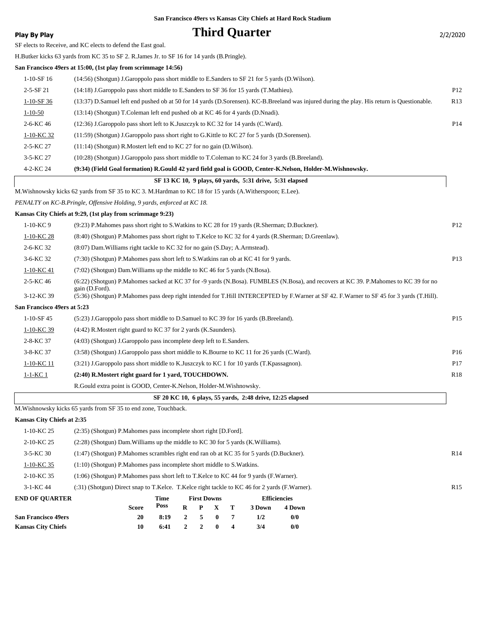## **Play By Play Play Play Play By Play Play By Play Play By Play Play By Play Play Play Play Play Play Play Play Play Play Play Play Play Play Play Play Play Play Play Play**

SF elects to Receive, and KC elects to defend the East goal.

H.Butker kicks 63 yards from KC 35 to SF 2. R.James Jr. to SF 16 for 14 yards (B.Pringle).

#### **San Francisco 49ers at 15:00, (1st play from scrimmage 14:56)**

|                 | SF 13 KC 10, 9 plays, 60 yards, 5:31 drive, 5:31 elapsed                                                                                    |                 |
|-----------------|---------------------------------------------------------------------------------------------------------------------------------------------|-----------------|
| 4-2-KC 24       | (9:34) (Field Goal formation) R.Gould 42 vard field goal is GOOD, Center-K.Nelson, Holder-M.Wishnowsky.                                     |                 |
| 3-5-KC 27       | (10:28) (Shotgun) J.Garoppolo pass short middle to T.Coleman to KC 24 for 3 yards (B.Breeland).                                             |                 |
| 2-5-KC 27       | $(11:14)$ (Shotgun) R.Mostert left end to KC 27 for no gain (D.Wilson).                                                                     |                 |
| 1-10-KC 32      | (11:59) (Shotgun) J.Garoppolo pass short right to G.Kittle to KC 27 for 5 yards (D.Sorensen).                                               |                 |
| $2-6-KC$ 46     | (12:36) J.Garoppolo pass short left to K.Juszczyk to KC 32 for 14 yards (C.Ward).                                                           | P <sub>14</sub> |
| $1 - 10 - 50$   | (13:14) (Shotgun) T.Coleman left end pushed ob at KC 46 for 4 yards (D.Nnadi).                                                              |                 |
| $1-10-SF$ 36    | (13:37) D.Samuel left end pushed ob at 50 for 14 yards (D.Sorensen). KC-B.Breeland was injured during the play. His return is Questionable. | R13             |
| $2 - 5 - SF$ 21 | (14:18) J.Garoppolo pass short middle to E.Sanders to SF 36 for 15 yards (T.Mathieu).                                                       | P <sub>12</sub> |
| $1-10-$ SF 16   | (14:56) (Shotgun) J.Garoppolo pass short middle to E.Sanders to SF 21 for 5 yards (D.Wilson).                                               |                 |
|                 |                                                                                                                                             |                 |

M.Wishnowsky kicks 62 yards from SF 35 to KC 3. M.Hardman to KC 18 for 15 yards (A.Witherspoon; E.Lee). *PENALTY on KC-B.Pringle, Offensive Holding, 9 yards, enforced at KC 18.*

#### **Kansas City Chiefs at 9:29, (1st play from scrimmage 9:23)**

| $1-10-KC9$                  | (9:23) P. Mahomes pass short right to S. Watkins to KC 28 for 19 yards (R. Sherman; D. Buckner).                                                       | P <sub>12</sub> |
|-----------------------------|--------------------------------------------------------------------------------------------------------------------------------------------------------|-----------------|
| 1-10-KC 28                  | (8:40) (Shotgun) P. Mahomes pass short right to T. Kelce to KC 32 for 4 yards (R. Sherman; D. Greenlaw).                                               |                 |
| 2-6-KC 32                   | (8.07) Dam. Williams right tackle to KC 32 for no gain (S.Day; A.Armstead).                                                                            |                 |
| 3-6-KC 32                   | (7:30) (Shotgun) P.Mahomes pass short left to S.Watkins ran ob at KC 41 for 9 yards.                                                                   | P <sub>13</sub> |
| 1-10-KC 41                  | $(7.02)$ (Shotgun) Dam. Williams up the middle to KC 46 for 5 yards (N.Bosa).                                                                          |                 |
| 2-5-KC 46                   | (6:22) (Shotgun) P.Mahomes sacked at KC 37 for -9 yards (N.Bosa). FUMBLES (N.Bosa), and recovers at KC 39. P.Mahomes to KC 39 for no<br>gain (D.Ford). |                 |
| 3-12-KC 39                  | (5:36) (Shotgun) P.Mahomes pass deep right intended for T.Hill INTERCEPTED by F.Warner at SF 42. F.Warner to SF 45 for 3 yards (T.Hill).               |                 |
| San Francisco 49ers at 5:23 |                                                                                                                                                        |                 |
| $1-10-SF$ 45                | (5.23) J.Garoppolo pass short middle to D.Samuel to KC 39 for 16 yards (B.Breeland).                                                                   | P <sub>15</sub> |
| 1-10-KC 39                  | $(4:42)$ R. Mostert right guard to KC 37 for 2 yards (K. Saunders).                                                                                    |                 |
| 2-8-KC 37                   | (4:03) (Shotgun) J.Garoppolo pass incomplete deep left to E.Sanders.                                                                                   |                 |
| 3-8-KC 37                   | (3:58) (Shotgun) J.Garoppolo pass short middle to K.Bourne to KC 11 for 26 yards (C.Ward).                                                             | P <sub>16</sub> |
| 1-10-KC 11                  | (3:21) J.Garoppolo pass short middle to K.Juszczyk to KC 1 for 10 yards (T.Kpassagnon).                                                                | P <sub>17</sub> |
| $1-1-KC$ 1                  | (2:40) R.Mostert right guard for 1 yard, TOUCHDOWN.                                                                                                    | R <sub>18</sub> |
|                             | R. Gould extra point is GOOD, Center-K. Nelson, Holder-M. Wishnowsky.                                                                                  |                 |

#### **SF 20 KC 10, 6 plays, 55 yards, 2:48 drive, 12:25 elapsed**

M.Wishnowsky kicks 65 yards from SF 35 to end zone, Touchback.

**Kansas City Chiefs at 2:35**

| <b>Kansas City Chiefs</b>  |                                                                                               | 10                                                                                       | 6:41 |              |                    | $\bf{0}$     | 4 | 3/4                 | 0/0    |  |     |  |  |  |
|----------------------------|-----------------------------------------------------------------------------------------------|------------------------------------------------------------------------------------------|------|--------------|--------------------|--------------|---|---------------------|--------|--|-----|--|--|--|
| <b>San Francisco 49ers</b> |                                                                                               | 20                                                                                       | 8:19 | $\mathbf{2}$ | 5                  | $\mathbf{0}$ | 7 | 1/2                 | 0/0    |  |     |  |  |  |
|                            |                                                                                               | <b>Score</b>                                                                             | Poss | R            | P                  | X            | т | 3 Down              | 4 Down |  |     |  |  |  |
| <b>END OF OUARTER</b>      |                                                                                               |                                                                                          | Time |              | <b>First Downs</b> |              |   | <b>Efficiencies</b> |        |  |     |  |  |  |
| $3-1-KC$ 44                | (:31) (Shotgun) Direct snap to T.Kelce. T.Kelce right tackle to KC 46 for 2 yards (F.Warner). |                                                                                          |      |              |                    |              |   |                     |        |  | R15 |  |  |  |
| 2-10-KC 35                 |                                                                                               | $(1:06)$ (Shotgun) P.Mahomes pass short left to T.Kelce to KC 44 for 9 yards (F.Warner). |      |              |                    |              |   |                     |        |  |     |  |  |  |
| $1-10-KC$ 35               |                                                                                               | $(1:10)$ (Shotgun) P. Mahomes pass incomplete short middle to S. Watkins.                |      |              |                    |              |   |                     |        |  |     |  |  |  |
| 3-5-KC 30                  | (1:47) (Shotgun) P. Mahomes scrambles right end ran ob at KC 35 for 5 yards (D. Buckner).     |                                                                                          |      |              |                    |              |   |                     |        |  | R14 |  |  |  |
| 2-10-KC 25                 | $(2:28)$ (Shotgun) Dam. Williams up the middle to KC 30 for 5 yards (K. Williams).            |                                                                                          |      |              |                    |              |   |                     |        |  |     |  |  |  |
| $1-10-KC$ 25               | (2:35) (Shotgun) P.Mahomes pass incomplete short right [D.Ford].                              |                                                                                          |      |              |                    |              |   |                     |        |  |     |  |  |  |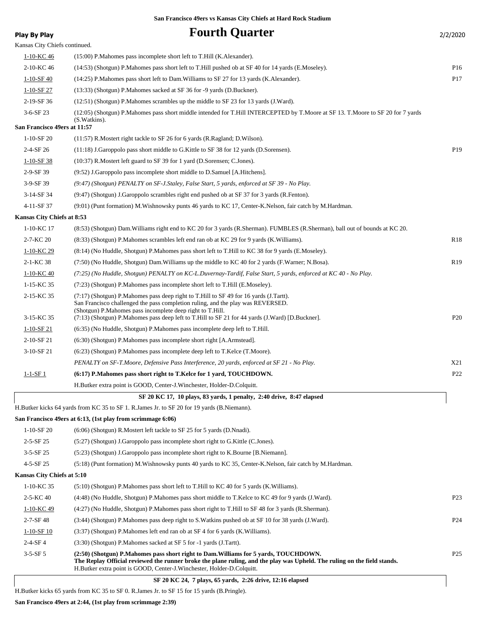| <b>Play By Play</b>           | <b>Fourth Quarter</b>                                                                                                                                                                                                                                                                     | 2/2/2020        |
|-------------------------------|-------------------------------------------------------------------------------------------------------------------------------------------------------------------------------------------------------------------------------------------------------------------------------------------|-----------------|
| Kansas City Chiefs continued. |                                                                                                                                                                                                                                                                                           |                 |
| 1-10-KC 46                    | (15:00) P.Mahomes pass incomplete short left to T.Hill (K.Alexander).                                                                                                                                                                                                                     |                 |
| 2-10-KC 46                    | (14:53) (Shotgun) P. Mahomes pass short left to T. Hill pushed ob at SF 40 for 14 yards (E. Moseley).                                                                                                                                                                                     | P <sub>16</sub> |
| $1-10-SF$ 40                  | (14:25) P.Mahomes pass short left to Dam. Williams to SF 27 for 13 yards (K.Alexander).                                                                                                                                                                                                   | P17             |
| $1-10-SF$ 27                  | (13:33) (Shotgun) P.Mahomes sacked at SF 36 for -9 yards (D.Buckner).                                                                                                                                                                                                                     |                 |
| 2-19-SF 36                    | $(12:51)$ (Shotgun) P.Mahomes scrambles up the middle to SF 23 for 13 yards (J.Ward).                                                                                                                                                                                                     |                 |
| $3-6-SF23$                    | (12:05) (Shotgun) P.Mahomes pass short middle intended for T.Hill INTERCEPTED by T.Moore at SF 13. T.Moore to SF 20 for 7 yards                                                                                                                                                           |                 |
|                               | (S. Watkins).                                                                                                                                                                                                                                                                             |                 |
| San Francisco 49ers at 11:57  |                                                                                                                                                                                                                                                                                           |                 |
| $1-10-SF$ 20                  | (11:57) R. Mostert right tackle to SF 26 for 6 yards (R. Ragland; D. Wilson).                                                                                                                                                                                                             |                 |
| 2-4-SF 26                     | (11:18) J.Garoppolo pass short middle to G.Kittle to SF 38 for 12 yards (D.Sorensen).                                                                                                                                                                                                     | P <sub>19</sub> |
| $1-10-SF$ 38                  | (10:37) R.Mostert left guard to SF 39 for 1 yard (D.Sorensen; C.Jones).                                                                                                                                                                                                                   |                 |
| 2-9-SF 39                     | (9:52) J.Garoppolo pass incomplete short middle to D.Samuel [A.Hitchens].                                                                                                                                                                                                                 |                 |
| 3-9-SF 39                     | (9:47) (Shotgun) PENALTY on SF-J.Staley, False Start, 5 yards, enforced at SF 39 - No Play.                                                                                                                                                                                               |                 |
| 3-14-SF 34                    | (9:47) (Shotgun) J.Garoppolo scrambles right end pushed ob at SF 37 for 3 yards (R.Fenton).                                                                                                                                                                                               |                 |
| 4-11-SF 37                    | (9:01) (Punt formation) M. Wishnowsky punts 46 yards to KC 17, Center-K. Nelson, fair catch by M. Hardman.                                                                                                                                                                                |                 |
| Kansas City Chiefs at 8:53    |                                                                                                                                                                                                                                                                                           |                 |
| 1-10-KC 17                    | (8:53) (Shotgun) Dam. Williams right end to KC 20 for 3 yards (R.Sherman). FUMBLES (R.Sherman), ball out of bounds at KC 20.                                                                                                                                                              |                 |
| 2-7-KC 20                     | (8.33) (Shotgun) P. Mahomes scrambles left end ran ob at KC 29 for 9 yards (K. Williams).                                                                                                                                                                                                 | R <sub>18</sub> |
| 1-10-KC 29                    | (8:14) (No Huddle, Shotgun) P. Mahomes pass short left to T. Hill to KC 38 for 9 yards (E. Moseley).                                                                                                                                                                                      |                 |
| 2-1-KC 38                     | (7:50) (No Huddle, Shotgun) Dam. Williams up the middle to KC 40 for 2 yards (F. Warner; N. Bosa).                                                                                                                                                                                        | R <sub>19</sub> |
| 1-10-KC 40                    | (7:25) (No Huddle, Shotgun) PENALTY on KC-L.Duvernay-Tardif, False Start, 5 yards, enforced at KC 40 - No Play.                                                                                                                                                                           |                 |
| 1-15-KC 35                    | (7:23) (Shotgun) P.Mahomes pass incomplete short left to T.Hill (E.Moseley).                                                                                                                                                                                                              |                 |
| 2-15-KC 35                    | (7:17) (Shotgun) P.Mahomes pass deep right to T.Hill to SF 49 for 16 yards (J.Tartt).<br>San Francisco challenged the pass completion ruling, and the play was REVERSED.<br>(Shotgun) P.Mahomes pass incomplete deep right to T.Hill.                                                     |                 |
| 3-15-KC 35                    | (7:13) (Shotgun) P.Mahomes pass deep left to T.Hill to SF 21 for 44 yards (J.Ward) [D.Buckner].                                                                                                                                                                                           | P <sub>20</sub> |
| $1 - 10 - SF$ 21              | (6:35) (No Huddle, Shotgun) P.Mahomes pass incomplete deep left to T.Hill.                                                                                                                                                                                                                |                 |
| $2 - 10 - SF$ 21              | (6:30) (Shotgun) P.Mahomes pass incomplete short right [A.Armstead].                                                                                                                                                                                                                      |                 |
| 3-10-SF 21                    | (6:23) (Shotgun) P.Mahomes pass incomplete deep left to T.Kelce (T.Moore).                                                                                                                                                                                                                |                 |
|                               | PENALTY on SF-T.Moore, Defensive Pass Interference, 20 yards, enforced at SF 21 - No Play.                                                                                                                                                                                                | X21             |
| $1 - 1 - SF$ 1                | (6:17) P. Mahomes pass short right to T. Kelce for 1 yard, TOUCHDOWN.                                                                                                                                                                                                                     | P <sub>22</sub> |
|                               | H.Butker extra point is GOOD, Center-J.Winchester, Holder-D.Colquitt.                                                                                                                                                                                                                     |                 |
|                               | SF 20 KC 17, 10 plays, 83 yards, 1 penalty, 2:40 drive, 8:47 elapsed                                                                                                                                                                                                                      |                 |
|                               | H.Butker kicks 64 yards from KC 35 to SF 1. R.James Jr. to SF 20 for 19 yards (B.Niemann).                                                                                                                                                                                                |                 |
|                               | San Francisco 49ers at 6:13, (1st play from scrimmage 6:06)                                                                                                                                                                                                                               |                 |
| $1-10-SF$ 20                  | (6:06) (Shotgun) R.Mostert left tackle to SF 25 for 5 yards (D.Nnadi).                                                                                                                                                                                                                    |                 |
| $2 - 5 - SF$ 25               | (5:27) (Shotgun) J.Garoppolo pass incomplete short right to G.Kittle (C.Jones).                                                                                                                                                                                                           |                 |
| $3 - 5 - SF$ 25               | (5:23) (Shotgun) J.Garoppolo pass incomplete short right to K.Bourne [B.Niemann].                                                                                                                                                                                                         |                 |
| 4-5-SF 25                     | (5:18) (Punt formation) M. Wishnowsky punts 40 yards to KC 35, Center-K. Nelson, fair catch by M. Hardman.                                                                                                                                                                                |                 |
| Kansas City Chiefs at 5:10    |                                                                                                                                                                                                                                                                                           |                 |
| 1-10-KC 35                    | $(5:10)$ (Shotgun) P. Mahomes pass short left to T. Hill to KC 40 for 5 yards (K. Williams).                                                                                                                                                                                              |                 |
| 2-5-KC 40                     | (4:48) (No Huddle, Shotgun) P.Mahomes pass short middle to T.Kelce to KC 49 for 9 yards (J.Ward).                                                                                                                                                                                         | P <sub>23</sub> |
| 1-10-KC 49                    | (4:27) (No Huddle, Shotgun) P.Mahomes pass short right to T.Hill to SF 48 for 3 yards (R.Sherman).                                                                                                                                                                                        |                 |
| $2 - 7 - SF$ 48               | (3:44) (Shotgun) P.Mahomes pass deep right to S.Watkins pushed ob at SF 10 for 38 yards (J.Ward).                                                                                                                                                                                         | P <sub>24</sub> |
| $1-10-SF$ 10                  | (3:37) (Shotgun) P.Mahomes left end ran ob at SF 4 for 6 yards (K.Williams).                                                                                                                                                                                                              |                 |
| $2 - 4 - SF 4$                | (3:30) (Shotgun) P.Mahomes sacked at SF 5 for -1 yards (J.Tartt).                                                                                                                                                                                                                         |                 |
| $3-5-SF5$                     | (2:50) (Shotgun) P.Mahomes pass short right to Dam. Williams for 5 yards, TOUCHDOWN.<br>The Replay Official reviewed the runner broke the plane ruling, and the play was Upheld. The ruling on the field stands.<br>H.Butker extra point is GOOD, Center-J.Winchester, Holder-D.Colquitt. | P <sub>25</sub> |
|                               | SF 20 KC 24, 7 plays, 65 yards, 2:26 drive, 12:16 elapsed                                                                                                                                                                                                                                 |                 |

H.Butker kicks 65 yards from KC 35 to SF 0. R.James Jr. to SF 15 for 15 yards (B.Pringle).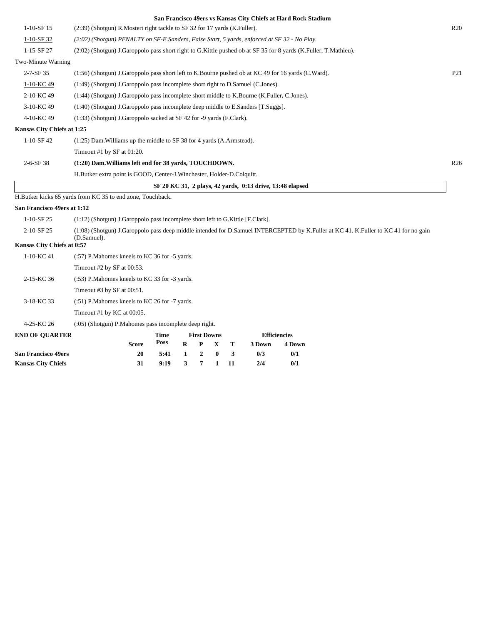|                             |                                                                                                                 |             |   |                    |          |   |                                                           | San Francisco 49ers vs Kansas City Chiefs at Hard Rock Stadium |                                                                                                                                     |                 |  |  |  |
|-----------------------------|-----------------------------------------------------------------------------------------------------------------|-------------|---|--------------------|----------|---|-----------------------------------------------------------|----------------------------------------------------------------|-------------------------------------------------------------------------------------------------------------------------------------|-----------------|--|--|--|
| $1-10-SF$ 15                | (2:39) (Shotgun) R.Mostert right tackle to SF 32 for 17 yards (K.Fuller).                                       |             |   |                    |          |   |                                                           |                                                                |                                                                                                                                     | R20             |  |  |  |
| 1-10-SF 32                  | (2:02) (Shotgun) PENALTY on SF-E.Sanders, False Start, 5 yards, enforced at SF 32 - No Play.                    |             |   |                    |          |   |                                                           |                                                                |                                                                                                                                     |                 |  |  |  |
| 1-15-SF 27                  | (2:02) (Shotgun) J.Garoppolo pass short right to G.Kittle pushed ob at SF 35 for 8 yards (K.Fuller, T.Mathieu). |             |   |                    |          |   |                                                           |                                                                |                                                                                                                                     |                 |  |  |  |
| Two-Minute Warning          |                                                                                                                 |             |   |                    |          |   |                                                           |                                                                |                                                                                                                                     |                 |  |  |  |
| $2 - 7 - SF$ 35             | (1:56) (Shotgun) J.Garoppolo pass short left to K.Bourne pushed ob at KC 49 for 16 yards (C.Ward).              |             |   |                    |          |   |                                                           |                                                                |                                                                                                                                     | P <sub>21</sub> |  |  |  |
| 1-10-KC 49                  | (1:49) (Shotgun) J.Garoppolo pass incomplete short right to D.Samuel (C.Jones).                                 |             |   |                    |          |   |                                                           |                                                                |                                                                                                                                     |                 |  |  |  |
| 2-10-KC 49                  | (1:44) (Shotgun) J.Garoppolo pass incomplete short middle to K.Bourne (K.Fuller, C.Jones).                      |             |   |                    |          |   |                                                           |                                                                |                                                                                                                                     |                 |  |  |  |
| 3-10-KC 49                  | (1:40) (Shotgun) J.Garoppolo pass incomplete deep middle to E.Sanders [T.Suggs].                                |             |   |                    |          |   |                                                           |                                                                |                                                                                                                                     |                 |  |  |  |
| 4-10-KC 49                  | (1:33) (Shotgun) J.Garoppolo sacked at SF 42 for -9 yards (F.Clark).                                            |             |   |                    |          |   |                                                           |                                                                |                                                                                                                                     |                 |  |  |  |
| Kansas City Chiefs at 1:25  |                                                                                                                 |             |   |                    |          |   |                                                           |                                                                |                                                                                                                                     |                 |  |  |  |
| $1-10-SF42$                 | (1:25) Dam. Williams up the middle to SF 38 for 4 yards (A.Armstead).                                           |             |   |                    |          |   |                                                           |                                                                |                                                                                                                                     |                 |  |  |  |
|                             | Timeout #1 by SF at 01:20.                                                                                      |             |   |                    |          |   |                                                           |                                                                |                                                                                                                                     |                 |  |  |  |
| $2-6-SF38$                  | (1:20) Dam. Williams left end for 38 yards, TOUCHDOWN.<br>R <sub>26</sub>                                       |             |   |                    |          |   |                                                           |                                                                |                                                                                                                                     |                 |  |  |  |
|                             | H.Butker extra point is GOOD, Center-J.Winchester, Holder-D.Colquitt.                                           |             |   |                    |          |   |                                                           |                                                                |                                                                                                                                     |                 |  |  |  |
|                             |                                                                                                                 |             |   |                    |          |   | SF 20 KC 31, 2 plays, 42 yards, 0:13 drive, 13:48 elapsed |                                                                |                                                                                                                                     |                 |  |  |  |
|                             | H.Butker kicks 65 yards from KC 35 to end zone, Touchback.                                                      |             |   |                    |          |   |                                                           |                                                                |                                                                                                                                     |                 |  |  |  |
| San Francisco 49ers at 1:12 |                                                                                                                 |             |   |                    |          |   |                                                           |                                                                |                                                                                                                                     |                 |  |  |  |
| $1-10-SF25$                 | (1:12) (Shotgun) J.Garoppolo pass incomplete short left to G.Kittle [F.Clark].                                  |             |   |                    |          |   |                                                           |                                                                |                                                                                                                                     |                 |  |  |  |
| 2-10-SF 25                  | (D.Samuel).                                                                                                     |             |   |                    |          |   |                                                           |                                                                | (1:08) (Shotgun) J.Garoppolo pass deep middle intended for D.Samuel INTERCEPTED by K.Fuller at KC 41. K.Fuller to KC 41 for no gain |                 |  |  |  |
| Kansas City Chiefs at 0:57  |                                                                                                                 |             |   |                    |          |   |                                                           |                                                                |                                                                                                                                     |                 |  |  |  |
| $1-10-KC$ 41                | (:57) P.Mahomes kneels to KC 36 for -5 yards.                                                                   |             |   |                    |          |   |                                                           |                                                                |                                                                                                                                     |                 |  |  |  |
|                             | Timeout #2 by SF at 00:53.                                                                                      |             |   |                    |          |   |                                                           |                                                                |                                                                                                                                     |                 |  |  |  |
| 2-15-KC 36                  | (:53) P.Mahomes kneels to KC 33 for -3 yards.                                                                   |             |   |                    |          |   |                                                           |                                                                |                                                                                                                                     |                 |  |  |  |
|                             | Timeout #3 by SF at 00:51.                                                                                      |             |   |                    |          |   |                                                           |                                                                |                                                                                                                                     |                 |  |  |  |
| 3-18-KC 33                  | (:51) P.Mahomes kneels to KC 26 for -7 yards.                                                                   |             |   |                    |          |   |                                                           |                                                                |                                                                                                                                     |                 |  |  |  |
|                             | Timeout #1 by KC at 00:05.                                                                                      |             |   |                    |          |   |                                                           |                                                                |                                                                                                                                     |                 |  |  |  |
| 4-25-KC 26                  | (:05) (Shotgun) P.Mahomes pass incomplete deep right.                                                           |             |   |                    |          |   |                                                           |                                                                |                                                                                                                                     |                 |  |  |  |
| <b>END OF QUARTER</b>       |                                                                                                                 | <b>Time</b> |   | <b>First Downs</b> |          |   | <b>Efficiencies</b>                                       |                                                                |                                                                                                                                     |                 |  |  |  |
|                             | Score                                                                                                           | Poss        | R | P                  | X        | т | 3 Down                                                    | 4 Down                                                         |                                                                                                                                     |                 |  |  |  |
| <b>San Francisco 49ers</b>  | 20                                                                                                              | 5:41        | 1 | $\boldsymbol{2}$   | $\bf{0}$ | 3 | 0/3                                                       | 0/1                                                            |                                                                                                                                     |                 |  |  |  |

**Kansas City Chiefs 31 9:19 3 7 1 11 2/4 0/1**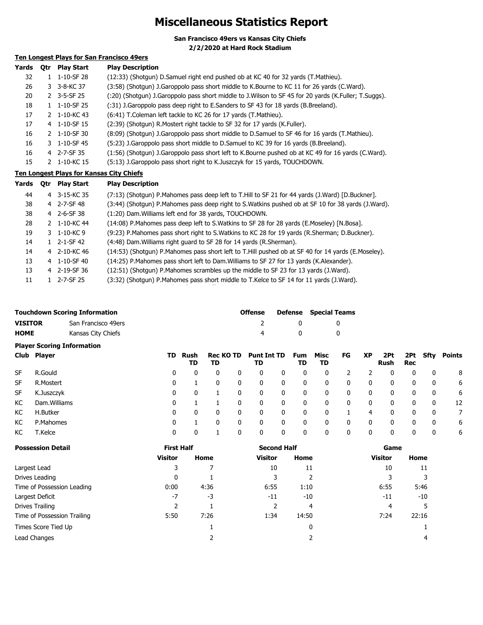## **Miscellaneous Statistics Report**

**San Francisco 49ers vs Kansas City Chiefs 2/2/2020 at Hard Rock Stadium**

## **Ten Longest Plays for San Francisco 49ers**

| Yards | <b>Otr</b> | <b>Play Start</b>              | <b>Play Description</b>                                                                              |
|-------|------------|--------------------------------|------------------------------------------------------------------------------------------------------|
| 32    |            | 1 1-10-SF 28                   | (12:33) (Shotgun) D.Samuel right end pushed ob at KC 40 for 32 yards (T.Mathieu).                    |
| 26    |            | 3 3-8-KC 37                    | (3:58) (Shotgun) J.Garoppolo pass short middle to K.Bourne to KC 11 for 26 yards (C.Ward).           |
| 20    |            | 2 3-5-SF 25                    | (:20) (Shotgun) J.Garoppolo pass short middle to J.Wilson to SF 45 for 20 yards (K.Fuller; T.Suggs). |
| 18    |            | $1 \quad 1 - 10 - SF$ 25       | (:31) J.Garoppolo pass deep right to E.Sanders to SF 43 for 18 yards (B.Breeland).                   |
| 17    |            | 2 $1 - 10 - KC$ 43             | (6:41) T. Coleman left tackle to KC 26 for 17 yards (T. Mathieu).                                    |
| 17    |            | 4 1-10-SF 15                   | (2:39) (Shotgun) R.Mostert right tackle to SF 32 for 17 yards (K.Fuller).                            |
| 16    |            | $2 \quad 1 - 10 - SF \quad 30$ | (8:09) (Shotgun) J.Garoppolo pass short middle to D.Samuel to SF 46 for 16 yards (T.Mathieu).        |
| 16    |            | $3 \quad 1 - 10 - SF$ 45       | (5:23) J.Garoppolo pass short middle to D.Samuel to KC 39 for 16 yards (B.Breeland).                 |
| 16    |            | 4 2-7-SF 35                    | (1:56) (Shotgun) J.Garoppolo pass short left to K.Bourne pushed ob at KC 49 for 16 yards (C.Ward).   |
| 15    |            | 2 1-10-KC 15                   | (5:13) J. Garoppolo pass short right to K. Juszczyk for 15 yards, TOUCHDOWN.                         |

### **Ten Longest Plays for Kansas City Chiefs**

| Yards | <b>Otr</b> | <b>Play Start</b>       | <b>Play Description</b>                                                                            |
|-------|------------|-------------------------|----------------------------------------------------------------------------------------------------|
| 44    |            | 4 3-15-KC 35            | (7:13) (Shotgun) P.Mahomes pass deep left to T.Hill to SF 21 for 44 yards (J.Ward) [D.Buckner].    |
| 38    |            | 4 2-7-SF 48             | (3:44) (Shotqun) P.Mahomes pass deep right to S.Watkins pushed ob at SF 10 for 38 yards (J.Ward).  |
| 38    |            | 4 2-6-SF 38             | (1:20) Dam. Williams left end for 38 yards, TOUCHDOWN.                                             |
| 28    |            | 2 1-10-KC 44            | (14:08) P.Mahomes pass deep left to S.Watkins to SF 28 for 28 yards (E.Moseley) [N.Bosa].          |
| 19    |            | 3 1-10-KC 9             | (9:23) P.Mahomes pass short right to S.Watkins to KC 28 for 19 yards (R.Sherman; D.Buckner).       |
| 14    |            | $1 \quad 2 - 1 - SF 42$ | (4:48) Dam. Williams right guard to SF 28 for 14 yards (R. Sherman).                               |
| 14    |            | 4 2-10-KC 46            | (14:53) (Shotgun) P.Mahomes pass short left to T.Hill pushed ob at SF 40 for 14 yards (E.Moseley). |
| 13    |            | 4 1-10-SF 40            | (14:25) P.Mahomes pass short left to Dam. Williams to SF 27 for 13 yards (K.Alexander).            |
| 13    |            | 4 2-19-SF 36            | (12:51) (Shotgun) P.Mahomes scrambles up the middle to SF 23 for 13 yards (J.Ward).                |
| 11    |            | 1 2-7-SF 25             | (3:32) (Shotgun) P.Mahomes pass short middle to T.Kelce to SF 14 for 11 yards (J.Ward).            |

|             | Touchdown Scoring Information | Offense |            | <b>Defense</b> Special Teams |
|-------------|-------------------------------|---------|------------|------------------------------|
| VISITOR     | San Francisco 49ers           |         | $^{\circ}$ |                              |
| <b>HOME</b> | Kansas City Chiefs            |         | $^{\circ}$ |                              |

### **Player Scoring Information**

|    | Club Player   | TD | Rush<br>TD | Rec KO TD<br>TD |   | <b>Punt Int TD</b><br>TD |   | Fum<br>TD | Misc<br>TD | FG | XP | 2Pt<br>Rush | <b>Rec</b> | 2Pt Sfty | Points |
|----|---------------|----|------------|-----------------|---|--------------------------|---|-----------|------------|----|----|-------------|------------|----------|--------|
| SF | R.Gould       | 0  | 0          |                 |   | 0                        | 0 | 0         | 0          |    |    | 0           | 0          | 0        | 8      |
| SF | R.Mostert     | 0  |            | 0               | 0 | 0                        | 0 | 0         | 0          | 0  | 0  | 0           | 0          | 0        | 6      |
| SF | K.Juszczyk    | 0  | 0          |                 |   | 0                        | 0 | 0         | 0          | 0  | 0  | 0           | 0          | 0        | 6      |
| КC | Dam. Williams | 0  |            |                 |   | 0                        | 0 | 0         | 0          | 0  | 0  | 0           | 0          | 0        | 12     |
| KC | H.Butker      | 0  | 0          | 0               | 0 | 0                        | 0 | 0         | 0          |    | 4  | 0           | 0          | 0        |        |
| KC | P.Mahomes     | 0  |            | 0               |   | 0                        | 0 | 0         | 0          |    | 0  | 0           | 0          | 0        | 6      |
| КC | T.Kelce       | 0  | 0          |                 |   | 0                        | 0 | 0         | 0          |    | 0  |             | 0          | 0        | 6      |

| <b>Possession Detail</b>    | <b>First Half</b> |      | <b>Second Half</b> |       | Game           |       |  |  |
|-----------------------------|-------------------|------|--------------------|-------|----------------|-------|--|--|
|                             | <b>Visitor</b>    | Home | <b>Visitor</b>     | Home  | <b>Visitor</b> | Home  |  |  |
| Largest Lead                |                   |      | 10                 | 11    | 10             | 11    |  |  |
| Drives Leading              | 0                 |      |                    |       |                |       |  |  |
| Time of Possession Leading  | 0:00              | 4:36 | 6:55               | 1:10  | 6:55           | 5:46  |  |  |
| Largest Deficit             | $-7$              | $-3$ | $-11$              | $-10$ | $-11$          | $-10$ |  |  |
| Drives Trailing             |                   |      |                    | 4     | 4              | 5     |  |  |
| Time of Possession Trailing | 5:50              | 7:26 | 1:34               | 14:50 | 7:24           | 22:16 |  |  |
| Times Score Tied Up         |                   |      |                    | 0     |                |       |  |  |
| Lead Changes                |                   |      |                    |       |                |       |  |  |